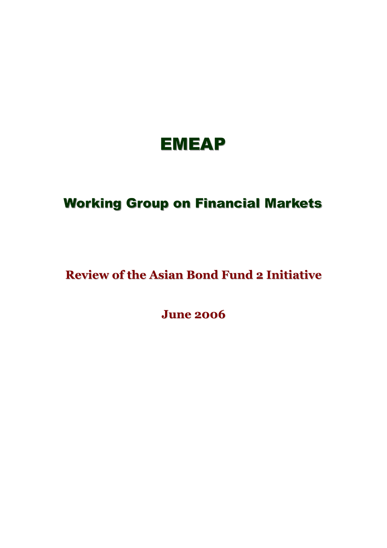

# **Working Group on Financial Markets**

# **Review of the Asian Bond Fund 2 Initiative**

**June 2006**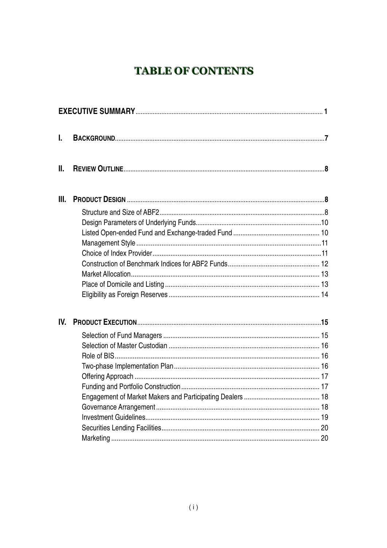# **TABLE OF CONTENTS**

| L    |  |
|------|--|
| Ш.   |  |
| III. |  |
|      |  |
|      |  |
|      |  |
|      |  |
|      |  |
|      |  |
|      |  |
|      |  |
|      |  |
| IV.  |  |
|      |  |
|      |  |
|      |  |
|      |  |
|      |  |
|      |  |
|      |  |
|      |  |
|      |  |
|      |  |
|      |  |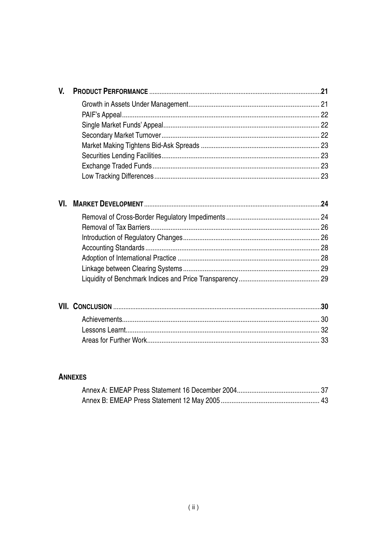# **ANNEXES**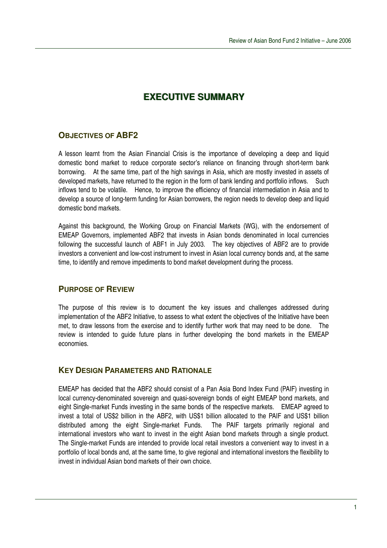# **EXECUTIVE SUMMARY**

# **OBJECTIVES OF ABF2**

A lesson learnt from the Asian Financial Crisis is the importance of developing a deep and liquid domestic bond market to reduce corporate sector's reliance on financing through short-term bank borrowing. At the same time, part of the high savings in Asia, which are mostly invested in assets of developed markets, have returned to the region in the form of bank lending and portfolio inflows. Such inflows tend to be volatile. Hence, to improve the efficiency of financial intermediation in Asia and to develop a source of long-term funding for Asian borrowers, the region needs to develop deep and liquid domestic bond markets.

Against this background, the Working Group on Financial Markets (WG), with the endorsement of EMEAP Governors, implemented ABF2 that invests in Asian bonds denominated in local currencies following the successful launch of ABF1 in July 2003. The key objectives of ABF2 are to provide investors a convenient and low-cost instrument to invest in Asian local currency bonds and, at the same time, to identify and remove impediments to bond market development during the process.

# **PURPOSE OF REVIEW**

The purpose of this review is to document the key issues and challenges addressed during implementation of the ABF2 Initiative, to assess to what extent the objectives of the Initiative have been met, to draw lessons from the exercise and to identify further work that may need to be done. The review is intended to guide future plans in further developing the bond markets in the EMEAP economies.

# **KEY DESIGN PARAMETERS AND RATIONALE**

EMEAP has decided that the ABF2 should consist of a Pan Asia Bond Index Fund (PAIF) investing in local currency-denominated sovereign and quasi-sovereign bonds of eight EMEAP bond markets, and eight Single-market Funds investing in the same bonds of the respective markets. EMEAP agreed to invest a total of US\$2 billion in the ABF2, with US\$1 billion allocated to the PAIF and US\$1 billion distributed among the eight Single-market Funds. The PAIF targets primarily regional and international investors who want to invest in the eight Asian bond markets through a single product. The Single-market Funds are intended to provide local retail investors a convenient way to invest in a portfolio of local bonds and, at the same time, to give regional and international investors the flexibility to invest in individual Asian bond markets of their own choice.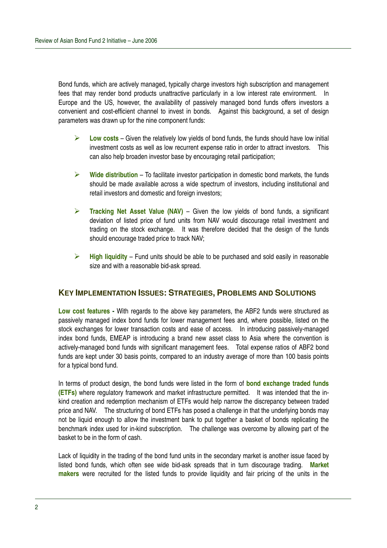Bond funds, which are actively managed, typically charge investors high subscription and management fees that may render bond products unattractive particularly in a low interest rate environment. In Europe and the US, however, the availability of passively managed bond funds offers investors a convenient and cost-efficient channel to invest in bonds. Against this background, a set of design parameters was drawn up for the nine component funds:

- $\triangleright$  **Low costs** Given the relatively low yields of bond funds, the funds should have low initial investment costs as well as low recurrent expense ratio in order to attract investors. This can also help broaden investor base by encouraging retail participation;
- **Wide distribution** To facilitate investor participation in domestic bond markets, the funds should be made available across a wide spectrum of investors, including institutional and retail investors and domestic and foreign investors;
- **Tracking Net Asset Value (NAV)** Given the low yields of bond funds, a significant deviation of listed price of fund units from NAV would discourage retail investment and trading on the stock exchange. It was therefore decided that the design of the funds should encourage traded price to track NAV;
- **High liquidity** Fund units should be able to be purchased and sold easily in reasonable size and with a reasonable bid-ask spread.

## **KEY IMPLEMENTATION ISSUES: STRATEGIES, PROBLEMS AND SOLUTIONS**

**Low cost features -** With regards to the above key parameters, the ABF2 funds were structured as passively managed index bond funds for lower management fees and, where possible, listed on the stock exchanges for lower transaction costs and ease of access. In introducing passively-managed index bond funds, EMEAP is introducing a brand new asset class to Asia where the convention is actively-managed bond funds with significant management fees. Total expense ratios of ABF2 bond funds are kept under 30 basis points, compared to an industry average of more than 100 basis points for a typical bond fund.

In terms of product design, the bond funds were listed in the form of **bond exchange traded funds (ETFs)** where regulatory framework and market infrastructure permitted. It was intended that the inkind creation and redemption mechanism of ETFs would help narrow the discrepancy between traded price and NAV. The structuring of bond ETFs has posed a challenge in that the underlying bonds may not be liquid enough to allow the investment bank to put together a basket of bonds replicating the benchmark index used for in-kind subscription. The challenge was overcome by allowing part of the basket to be in the form of cash.

Lack of liquidity in the trading of the bond fund units in the secondary market is another issue faced by listed bond funds, which often see wide bid-ask spreads that in turn discourage trading. **Market makers** were recruited for the listed funds to provide liquidity and fair pricing of the units in the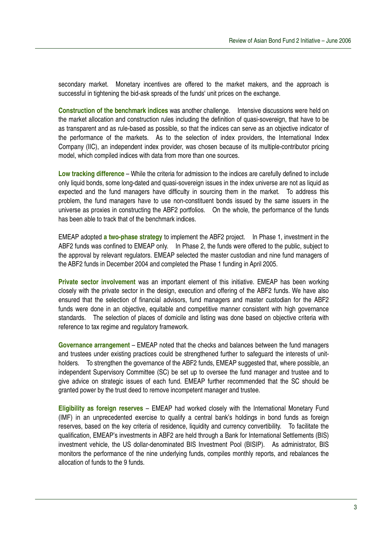secondary market. Monetary incentives are offered to the market makers, and the approach is successful in tightening the bid-ask spreads of the funds' unit prices on the exchange.

**Construction of the benchmark indices** was another challenge. Intensive discussions were held on the market allocation and construction rules including the definition of quasi-sovereign, that have to be as transparent and as rule-based as possible, so that the indices can serve as an objective indicator of the performance of the markets. As to the selection of index providers, the International Index Company (IIC), an independent index provider, was chosen because of its multiple-contributor pricing model, which compiled indices with data from more than one sources.

**Low tracking difference** – While the criteria for admission to the indices are carefully defined to include only liquid bonds, some long-dated and quasi-sovereign issues in the index universe are not as liquid as expected and the fund managers have difficulty in sourcing them in the market. To address this problem, the fund managers have to use non-constituent bonds issued by the same issuers in the universe as proxies in constructing the ABF2 portfolios. On the whole, the performance of the funds has been able to track that of the benchmark indices.

EMEAP adopted **a two-phase strategy** to implement the ABF2 project. In Phase 1, investment in the ABF2 funds was confined to EMEAP only. In Phase 2, the funds were offered to the public, subject to the approval by relevant regulators. EMEAP selected the master custodian and nine fund managers of the ABF2 funds in December 2004 and completed the Phase 1 funding in April 2005.

**Private sector involvement** was an important element of this initiative. EMEAP has been working closely with the private sector in the design, execution and offering of the ABF2 funds. We have also ensured that the selection of financial advisors, fund managers and master custodian for the ABF2 funds were done in an objective, equitable and competitive manner consistent with high governance standards. The selection of places of domicile and listing was done based on objective criteria with reference to tax regime and regulatory framework.

**Governance arrangement** – EMEAP noted that the checks and balances between the fund managers and trustees under existing practices could be strengthened further to safeguard the interests of unitholders. To strengthen the governance of the ABF2 funds, EMEAP suggested that, where possible, an independent Supervisory Committee (SC) be set up to oversee the fund manager and trustee and to give advice on strategic issues of each fund. EMEAP further recommended that the SC should be granted power by the trust deed to remove incompetent manager and trustee.

**Eligibility as foreign reserves** – EMEAP had worked closely with the International Monetary Fund (IMF) in an unprecedented exercise to qualify a central bank's holdings in bond funds as foreign reserves, based on the key criteria of residence, liquidity and currency convertibility. To facilitate the qualification, EMEAP's investments in ABF2 are held through a Bank for International Settlements (BIS) investment vehicle, the US dollar-denominated BIS Investment Pool (BISIP). As administrator, BIS monitors the performance of the nine underlying funds, compiles monthly reports, and rebalances the allocation of funds to the 9 funds.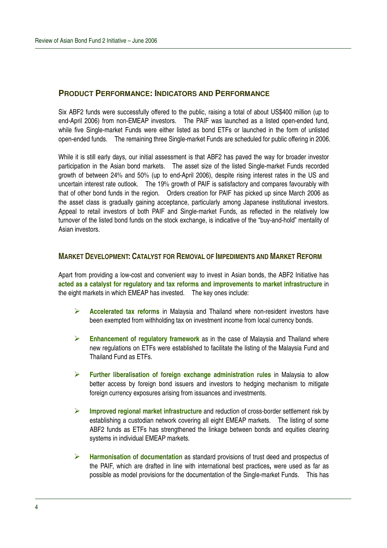# **PRODUCT PERFORMANCE: INDICATORS AND PERFORMANCE**

Six ABF2 funds were successfully offered to the public, raising a total of about US\$400 million (up to end-April 2006) from non-EMEAP investors. The PAIF was launched as a listed open-ended fund, while five Single-market Funds were either listed as bond ETFs or launched in the form of unlisted open-ended funds. The remaining three Single-market Funds are scheduled for public offering in 2006.

While it is still early days, our initial assessment is that ABF2 has paved the way for broader investor participation in the Asian bond markets. The asset size of the listed Single-market Funds recorded growth of between 24% and 50% (up to end-April 2006), despite rising interest rates in the US and uncertain interest rate outlook. The 19% growth of PAIF is satisfactory and compares favourably with that of other bond funds in the region. Orders creation for PAIF has picked up since March 2006 as the asset class is gradually gaining acceptance, particularly among Japanese institutional investors. Appeal to retail investors of both PAIF and Single-market Funds, as reflected in the relatively low turnover of the listed bond funds on the stock exchange, is indicative of the "buy-and-hold" mentality of Asian investors.

#### **MARKET DEVELOPMENT: CATALYST FOR REMOVAL OF IMPEDIMENTS AND MARKET REFORM**

Apart from providing a low-cost and convenient way to invest in Asian bonds, the ABF2 Initiative has **acted as a catalyst for regulatory and tax reforms and improvements to market infrastructure** in the eight markets in which EMEAP has invested. The key ones include:

- **Accelerated tax reforms** in Malaysia and Thailand where non-resident investors have been exempted from withholding tax on investment income from local currency bonds.
- **Enhancement of regulatory framework** as in the case of Malaysia and Thailand where new regulations on ETFs were established to facilitate the listing of the Malaysia Fund and Thailand Fund as ETFs.
- **Further liberalisation of foreign exchange administration rules** in Malaysia to allow better access by foreign bond issuers and investors to hedging mechanism to mitigate foreign currency exposures arising from issuances and investments.
- **Improved regional market infrastructure** and reduction of cross-border settlement risk by establishing a custodian network covering all eight EMEAP markets. The listing of some ABF2 funds as ETFs has strengthened the linkage between bonds and equities clearing systems in individual EMEAP markets.
- **Harmonisation of documentation** as standard provisions of trust deed and prospectus of the PAIF, which are drafted in line with international best practices**,** were used as far as possible as model provisions for the documentation of the Single-market Funds. This has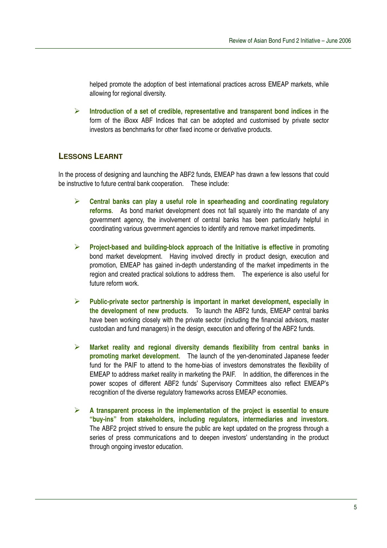helped promote the adoption of best international practices across EMEAP markets, while allowing for regional diversity.

 **Introduction of a set of credible, representative and transparent bond indices** in the form of the iBoxx ABF Indices that can be adopted and customised by private sector investors as benchmarks for other fixed income or derivative products.

# **LESSONS LEARNT**

In the process of designing and launching the ABF2 funds, EMEAP has drawn a few lessons that could be instructive to future central bank cooperation. These include:

- **Central banks can play a useful role in spearheading and coordinating regulatory reforms**. As bond market development does not fall squarely into the mandate of any government agency, the involvement of central banks has been particularly helpful in coordinating various government agencies to identify and remove market impediments.
- **Project-based and building-block approach of the Initiative is effective** in promoting bond market development. Having involved directly in product design, execution and promotion, EMEAP has gained in-depth understanding of the market impediments in the region and created practical solutions to address them. The experience is also useful for future reform work.
- **Public-private sector partnership is important in market development, especially in the development of new products**. To launch the ABF2 funds, EMEAP central banks have been working closely with the private sector (including the financial advisors, master custodian and fund managers) in the design, execution and offering of the ABF2 funds.
- **Market reality and regional diversity demands flexibility from central banks in promoting market development**. The launch of the yen-denominated Japanese feeder fund for the PAIF to attend to the home-bias of investors demonstrates the flexibility of EMEAP to address market reality in marketing the PAIF. In addition, the differences in the power scopes of different ABF2 funds' Supervisory Committees also reflect EMEAP's recognition of the diverse regulatory frameworks across EMEAP economies.
- **A transparent process in the implementation of the project is essential to ensure "buy-ins" from stakeholders, including regulators, intermediaries and investors**. The ABF2 project strived to ensure the public are kept updated on the progress through a series of press communications and to deepen investors' understanding in the product through ongoing investor education.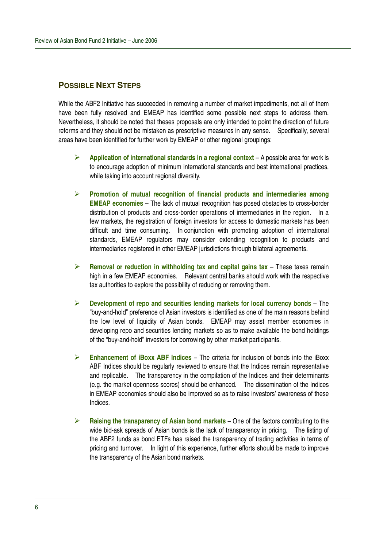# **POSSIBLE NEXT STEPS**

While the ABF2 Initiative has succeeded in removing a number of market impediments, not all of them have been fully resolved and EMEAP has identified some possible next steps to address them. Nevertheless, it should be noted that theses proposals are only intended to point the direction of future reforms and they should not be mistaken as prescriptive measures in any sense. Specifically, several areas have been identified for further work by EMEAP or other regional groupings:

- **Application of international standards in a regional context** A possible area for work is to encourage adoption of minimum international standards and best international practices, while taking into account regional diversity.
- **Promotion of mutual recognition of financial products and intermediaries among EMEAP economies** – The lack of mutual recognition has posed obstacles to cross-border distribution of products and cross-border operations of intermediaries in the region. In a few markets, the registration of foreign investors for access to domestic markets has been difficult and time consuming. In conjunction with promoting adoption of international standards, EMEAP regulators may consider extending recognition to products and intermediaries registered in other EMEAP jurisdictions through bilateral agreements.
- **Removal or reduction in withholding tax and capital gains tax** These taxes remain high in a few EMEAP economies. Relevant central banks should work with the respective tax authorities to explore the possibility of reducing or removing them.
- **Development of repo and securities lending markets for local currency bonds** The "buy-and-hold" preference of Asian investors is identified as one of the main reasons behind the low level of liquidity of Asian bonds. EMEAP may assist member economies in developing repo and securities lending markets so as to make available the bond holdings of the "buy-and-hold" investors for borrowing by other market participants.
- **Enhancement of iBoxx ABF Indices** The criteria for inclusion of bonds into the iBoxx ABF Indices should be regularly reviewed to ensure that the Indices remain representative and replicable. The transparency in the compilation of the Indices and their determinants (e.g. the market openness scores) should be enhanced. The dissemination of the Indices in EMEAP economies should also be improved so as to raise investors' awareness of these Indices.
- **Raising the transparency of Asian bond markets** One of the factors contributing to the wide bid-ask spreads of Asian bonds is the lack of transparency in pricing. The listing of the ABF2 funds as bond ETFs has raised the transparency of trading activities in terms of pricing and turnover. In light of this experience, further efforts should be made to improve the transparency of the Asian bond markets.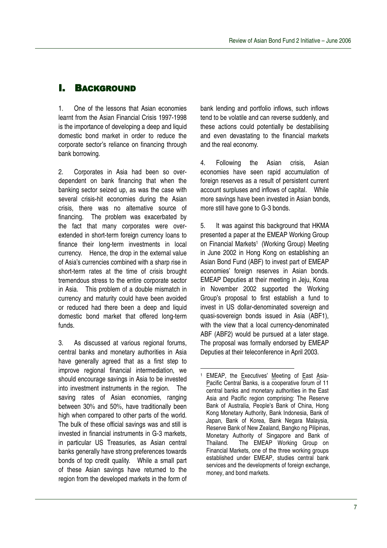# **I. BACKGROUND**

1. One of the lessons that Asian economies learnt from the Asian Financial Crisis 1997-1998 is the importance of developing a deep and liquid domestic bond market in order to reduce the corporate sector's reliance on financing through bank borrowing.

2. Corporates in Asia had been so overdependent on bank financing that when the banking sector seized up, as was the case with several crisis-hit economies during the Asian crisis, there was no alternative source of financing. The problem was exacerbated by the fact that many corporates were overextended in short-term foreign currency loans to finance their long-term investments in local currency. Hence, the drop in the external value of Asia's currencies combined with a sharp rise in short-term rates at the time of crisis brought tremendous stress to the entire corporate sector in Asia. This problem of a double mismatch in currency and maturity could have been avoided or reduced had there been a deep and liquid domestic bond market that offered long-term funds.

3. As discussed at various regional forums, central banks and monetary authorities in Asia have generally agreed that as a first step to improve regional financial intermediation, we should encourage savings in Asia to be invested into investment instruments in the region. The saving rates of Asian economies, ranging between 30% and 50%, have traditionally been high when compared to other parts of the world. The bulk of these official savings was and still is invested in financial instruments in G-3 markets, in particular US Treasuries, as Asian central banks generally have strong preferences towards bonds of top credit quality. While a small part of these Asian savings have returned to the region from the developed markets in the form of

bank lending and portfolio inflows, such inflows tend to be volatile and can reverse suddenly, and these actions could potentially be destabilising and even devastating to the financial markets and the real economy.

4. Following the Asian crisis, Asian economies have seen rapid accumulation of foreign reserves as a result of persistent current account surpluses and inflows of capital. While more savings have been invested in Asian bonds, more still have gone to G-3 bonds.

5. It was against this background that HKMA presented a paper at the EMEAP Working Group on Financial Markets 1 (Working Group) Meeting in June 2002 in Hong Kong on establishing an Asian Bond Fund (ABF) to invest part of EMEAP economies' foreign reserves in Asian bonds. EMEAP Deputies at their meeting in Jeju, Korea in November 2002 supported the Working Group's proposal to first establish a fund to invest in US dollar-denominated sovereign and quasi-sovereign bonds issued in Asia (ABF1), with the view that a local currency-denominated ABF (ABF2) would be pursued at a later stage. The proposal was formally endorsed by EMEAP Deputies at their teleconference in April 2003.

<sup>&</sup>lt;sup>1</sup> EMEAP, the Executives' Meeting of East Asia-Pacific Central Banks, is a cooperative forum of 11 central banks and monetary authorities in the East Asia and Pacific region comprising: The Reserve Bank of Australia, People's Bank of China, Hong Kong Monetary Authority, Bank Indonesia, Bank of Japan, Bank of Korea, Bank Negara Malaysia, Reserve Bank of New Zealand, Bangko ng Pilipinas, Monetary Authority of Singapore and Bank of Thailand. The EMEAP Working Group on Financial Markets, one of the three working groups established under EMEAP, studies central bank services and the developments of foreign exchange, money, and bond markets.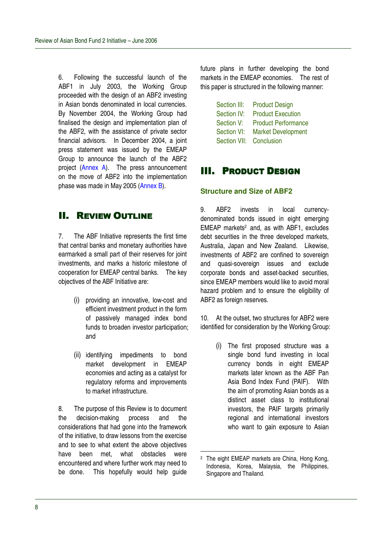6. Following the successful launch of the ABF1 in July 2003, the Working Group proceeded with the design of an ABF2 investing in Asian bonds denominated in local currencies. By November 2004, the Working Group had finalised the design and implementation plan of the ABF2, with the assistance of private sector financial advisors. In December 2004, a joint press statement was issued by the EMEAP Group to announce the launch of the ABF2 project (Annex A). The press announcement on the move of ABF2 into the implementation phase was made in May 2005 (Annex B).

# **II. REVIEW OUTLINE**

7. The ABF Initiative represents the first time that central banks and monetary authorities have earmarked a small part of their reserves for joint investments, and marks a historic milestone of cooperation for EMEAP central banks. The key objectives of the ABF Initiative are:

- (i) providing an innovative, low-cost and efficient investment product in the form of passively managed index bond funds to broaden investor participation; and
- (ii) identifying impediments to bond market development in EMEAP economies and acting as a catalyst for regulatory reforms and improvements to market infrastructure.

8. The purpose of this Review is to document the decision-making process and the considerations that had gone into the framework of the initiative, to draw lessons from the exercise and to see to what extent the above objectives have been met, what obstacles were encountered and where further work may need to be done. This hopefully would help guide

future plans in further developing the bond markets in the EMEAP economies. The rest of this paper is structured in the following manner:

| Section III: | <b>Product Design</b>      |
|--------------|----------------------------|
| Section IV:  | <b>Product Execution</b>   |
| Section V:   | <b>Product Performance</b> |
| Section VI:  | <b>Market Development</b>  |
| Section VII: | Conclusion                 |
|              |                            |

# **III. PRODUCT DESIGN**

### **Structure and Size of ABF2**

9. ABF2 invests in local currencydenominated bonds issued in eight emerging EMEAP markets <sup>2</sup> and, as with ABF1, excludes debt securities in the three developed markets, Australia, Japan and New Zealand. Likewise, investments of ABF2 are confined to sovereign and quasi-sovereign issues and exclude corporate bonds and asset-backed securities, since EMEAP members would like to avoid moral hazard problem and to ensure the eligibility of ABF2 as foreign reserves.

10. At the outset, two structures for ABF2 were identified for consideration by the Working Group:

> (i) The first proposed structure was a single bond fund investing in local currency bonds in eight EMEAP markets later known as the ABF Pan Asia Bond Index Fund (PAIF). With the aim of promoting Asian bonds as a distinct asset class to institutional investors, the PAIF targets primarily regional and international investors who want to gain exposure to Asian

<sup>2</sup> The eight EMEAP markets are China, Hong Kong, Indonesia, Korea, Malaysia, the Philippines, Singapore and Thailand.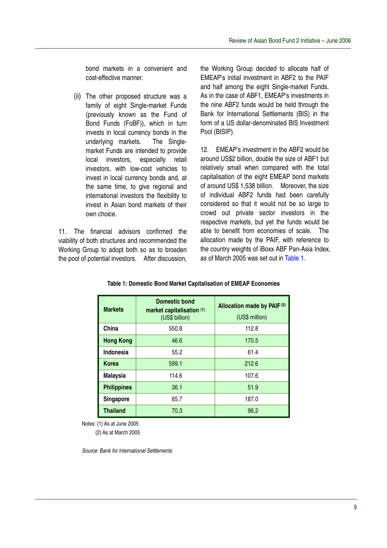bond markets in a convenient and cost-effective manner.

(ii) The other proposed structure was a family of eight Single-market Funds (previously known as the Fund of Bond Funds (FoBF)), which in turn invests in local currency bonds in the underlying markets. The Singlemarket Funds are intended to provide local investors, especially retail investors, with low-cost vehicles to invest in local currency bonds and, at the same time, to give regional and international investors the flexibility to invest in Asian bond markets of their own choice.

11. The financial advisors confirmed the viability of both structures and recommended the Working Group to adopt both so as to broaden the pool of potential investors. After discussion,

the Working Group decided to allocate half of EMEAP's initial investment in ABF2 to the PAIF and half among the eight Single-market Funds. As in the case of ABF1, EMEAP's investments in the nine ABF2 funds would be held through the Bank for International Settlements (BIS) in the form of a US dollar-denominated BIS Investment Pool (BISIP).

12. EMEAP's investment in the ABF2 would be around US\$2 billion, double the size of ABF1 but relatively small when compared with the total capitalisation of the eight EMEAP bond markets of around US\$ 1,538 billion. Moreover, the size of individual ABF2 funds had been carefully considered so that it would not be so large to crowd out private sector investors in the respective markets, but yet the funds would be able to benefit from economies of scale. The allocation made by the PAIF, with reference to the country weights of iBoxx ABF Pan-Asia Index, as of March 2005 was set out in Table 1.

| <b>Markets</b>     | <b>Domestic bond</b><br>market capitalisation (1)<br>(US\$ billion) | Allocation made by PAIF(2)<br>(US\$ million) |
|--------------------|---------------------------------------------------------------------|----------------------------------------------|
| China              | 550.8                                                               | 112.8                                        |
| <b>Hong Kong</b>   | 46.6                                                                | 170.5                                        |
| Indonesia          | 55.2                                                                | 61.4                                         |
| Korea              | 599.1                                                               | 212.6                                        |
| <b>Malaysia</b>    | 114.6                                                               | 107.6                                        |
| <b>Philippines</b> | 36.1                                                                | 51.9                                         |
| Singapore          | 65.7                                                                | 187.0                                        |
| <b>Thailand</b>    | 70.3                                                                | 96.2                                         |

**Table 1: Domestic Bond Market Capitalisation of EMEAP Economies**

Notes: (1) As at June 2005

(2) As at March 2005

*Source: Bank for International Settlements*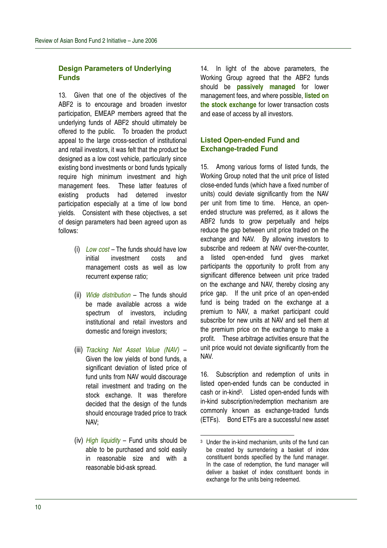### **Design Parameters of Underlying Funds**

13. Given that one of the objectives of the ABF2 is to encourage and broaden investor participation, EMEAP members agreed that the underlying funds of ABF2 should ultimately be offered to the public. To broaden the product appeal to the large cross-section of institutional and retail investors, it was felt that the product be designed as a low cost vehicle, particularly since existing bond investments or bond funds typically require high minimum investment and high management fees. These latter features of existing products had deterred investor participation especially at a time of low bond yields. Consistent with these objectives, a set of design parameters had been agreed upon as follows:

- (i) *Low cost –* The funds should have low initial investment costs and management costs as well as low recurrent expense ratio;
- (ii) *Wide distribution* The funds should be made available across a wide spectrum of investors, including institutional and retail investors and domestic and foreign investors;
- (iii) *Tracking Net Asset Value (NAV)* Given the low yields of bond funds, a significant deviation of listed price of fund units from NAV would discourage retail investment and trading on the stock exchange. It was therefore decided that the design of the funds should encourage traded price to track NAV;
- (iv) *High liquidity* Fund units should be able to be purchased and sold easily in reasonable size and with a reasonable bid-ask spread.

14. In light of the above parameters, the Working Group agreed that the ABF2 funds should be **passively managed** for lower management fees, and where possible, **listed on the stock exchange** for lower transaction costs and ease of access by all investors.

# **Listed Open-ended Fund and Exchange-traded Fund**

15. Among various forms of listed funds, the Working Group noted that the unit price of listed close-ended funds (which have a fixed number of units) could deviate significantly from the NAV per unit from time to time. Hence, an openended structure was preferred, as it allows the ABF2 funds to grow perpetually and helps reduce the gap between unit price traded on the exchange and NAV. By allowing investors to subscribe and redeem at NAV over-the-counter, a listed open-ended fund gives market participants the opportunity to profit from any significant difference between unit price traded on the exchange and NAV, thereby closing any price gap. If the unit price of an open-ended fund is being traded on the exchange at a premium to NAV, a market participant could subscribe for new units at NAV and sell them at the premium price on the exchange to make a profit. These arbitrage activities ensure that the unit price would not deviate significantly from the NAV.

16. Subscription and redemption of units in listed open-ended funds can be conducted in cash or in-kind 3 . Listed open-ended funds with in-kind subscription/redemption mechanism are commonly known as exchange-traded funds (ETFs). Bond ETFs are a successful new asset

<sup>3</sup> Under the in-kind mechanism, units of the fund can be created by surrendering a basket of index constituent bonds specified by the fund manager. In the case of redemption, the fund manager will deliver a basket of index constituent bonds in exchange for the units being redeemed.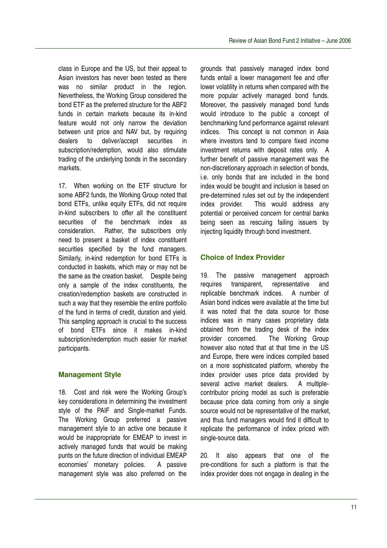class in Europe and the US, but their appeal to Asian investors has never been tested as there was no similar product in the region. Nevertheless, the Working Group considered the bond ETF as the preferred structure for the ABF2 funds in certain markets because its in-kind feature would not only narrow the deviation between unit price and NAV but, by requiring dealers to deliver/accept securities in subscription/redemption, would also stimulate trading of the underlying bonds in the secondary markets.

17. When working on the ETF structure for some ABF2 funds, the Working Group noted that bond ETFs, unlike equity ETFs, did not require in-kind subscribers to offer all the constituent securities of the benchmark index as consideration. Rather, the subscribers only need to present a basket of index constituent securities specified by the fund managers. Similarly, in-kind redemption for bond ETFs is conducted in baskets, which may or may not be the same as the creation basket. Despite being only a sample of the index constituents, the creation/redemption baskets are constructed in such a way that they resemble the entire portfolio of the fund in terms of credit, duration and yield. This sampling approach is crucial to the success of bond ETFs since it makes in-kind subscription/redemption much easier for market participants.

# **Management Style**

18. Cost and risk were the Working Group's key considerations in determining the investment style of the PAIF and Single-market Funds. The Working Group preferred a passive management style to an active one because it would be inappropriate for EMEAP to invest in actively managed funds that would be making punts on the future direction of individual EMEAP economies' monetary policies. A passive management style was also preferred on the

grounds that passively managed index bond funds entail a lower management fee and offer lower volatility in returns when compared with the more popular actively managed bond funds. Moreover, the passively managed bond funds would introduce to the public a concept of benchmarking fund performance against relevant indices. This concept is not common in Asia where investors tend to compare fixed income investment returns with deposit rates only. A further benefit of passive management was the non-discretionary approach in selection of bonds, i.e. only bonds that are included in the bond index would be bought and inclusion is based on pre-determined rules set out by the independent index provider. This would address any potential or perceived concern for central banks being seen as rescuing failing issuers by injecting liquidity through bond investment.

# **Choice of Index Provider**

19. The passive management approach requires transparent, representative and replicable benchmark indices. A number of Asian bond indices were available at the time but it was noted that the data source for those indices was in many cases proprietary data obtained from the trading desk of the index provider concerned. The Working Group however also noted that at that time in the US and Europe, there were indices compiled based on a more sophisticated platform, whereby the index provider uses price data provided by several active market dealers. A multiplecontributor pricing model as such is preferable because price data coming from only a single source would not be representative of the market, and thus fund managers would find it difficult to replicate the performance of index priced with single-source data.

20. It also appears that one of the pre-conditions for such a platform is that the index provider does not engage in dealing in the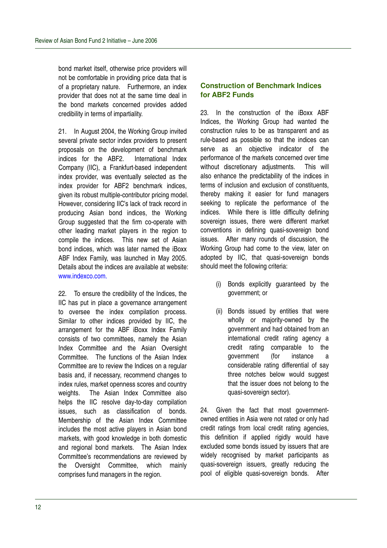bond market itself, otherwise price providers will not be comfortable in providing price data that is of a proprietary nature. Furthermore, an index provider that does not at the same time deal in the bond markets concerned provides added credibility in terms of impartiality.

21. In August 2004, the Working Group invited several private sector index providers to present proposals on the development of benchmark indices for the ABF2. International Index Company (IIC), a Frankfurt-based independent index provider, was eventually selected as the index provider for ABF2 benchmark indices, given its robust multiple-contributor pricing model. However, considering IIC's lack of track record in producing Asian bond indices, the Working Group suggested that the firm co-operate with other leading market players in the region to compile the indices. This new set of Asian bond indices, which was later named the iBoxx ABF Index Family, was launched in May 2005. Details about the indices are available at website: www.indexco.com.

22. To ensure the credibility of the Indices, the IIC has put in place a governance arrangement to oversee the index compilation process. Similar to other indices provided by IIC, the arrangement for the ABF iBoxx Index Family consists of two committees, namely the Asian Index Committee and the Asian Oversight Committee. The functions of the Asian Index Committee are to review the Indices on a regular basis and, if necessary, recommend changes to index rules, market openness scores and country weights. The Asian Index Committee also helps the IIC resolve day-to-day compilation issues, such as classification of bonds. Membership of the Asian Index Committee includes the most active players in Asian bond markets, with good knowledge in both domestic and regional bond markets. The Asian Index Committee's recommendations are reviewed by the Oversight Committee, which mainly comprises fund managers in the region.

# **Construction of Benchmark Indices for ABF2 Funds**

23. In the construction of the iBoxx ABF Indices, the Working Group had wanted the construction rules to be as transparent and as rule-based as possible so that the indices can serve as an objective indicator of the performance of the markets concerned over time without discretionary adjustments. This will also enhance the predictability of the indices in terms of inclusion and exclusion of constituents, thereby making it easier for fund managers seeking to replicate the performance of the indices. While there is little difficulty defining sovereign issues, there were different market conventions in defining quasi-sovereign bond issues. After many rounds of discussion, the Working Group had come to the view, later on adopted by IIC, that quasi-sovereign bonds should meet the following criteria:

- (i) Bonds explicitly guaranteed by the government; or
- (ii) Bonds issued by entities that were wholly or majority-owned by the government and had obtained from an international credit rating agency a credit rating comparable to the government (for instance a considerable rating differential of say three notches below would suggest that the issuer does not belong to the quasi-sovereign sector).

24. Given the fact that most governmentowned entities in Asia were not rated or only had credit ratings from local credit rating agencies, this definition if applied rigidly would have excluded some bonds issued by issuers that are widely recognised by market participants as quasi-sovereign issuers, greatly reducing the pool of eligible quasi-sovereign bonds. After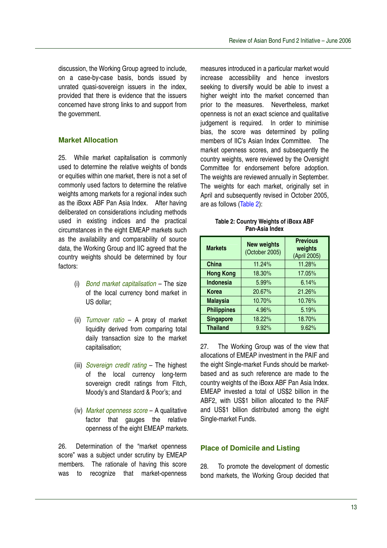discussion, the Working Group agreed to include, on a case-by-case basis, bonds issued by unrated quasi-sovereign issuers in the index, provided that there is evidence that the issuers concerned have strong links to and support from the government.

# **Market Allocation**

25. While market capitalisation is commonly used to determine the relative weights of bonds or equities within one market, there is not a set of commonly used factors to determine the relative weights among markets for a regional index such as the iBoxx ABF Pan Asia Index. After having deliberated on considerations including methods used in existing indices and the practical circumstances in the eight EMEAP markets such as the availability and comparability of source data, the Working Group and IIC agreed that the country weights should be determined by four factors:

- (i) *Bond market capitalisation* The size of the local currency bond market in US dollar;
- (ii) *Turnover ratio* A proxy of market liquidity derived from comparing total daily transaction size to the market capitalisation;
- (iii) *Sovereign credit rating* The highest of the local currency long-term sovereign credit ratings from Fitch, Moody's and Standard & Poor's; and
- (iv) *Market openness score* A qualitative factor that gauges the relative openness of the eight EMEAP markets.

26. Determination of the "market openness score" was a subject under scrutiny by EMEAP members. The rationale of having this score was to recognize that market-openness

measures introduced in a particular market would increase accessibility and hence investors seeking to diversify would be able to invest a higher weight into the market concerned than prior to the measures. Nevertheless, market openness is not an exact science and qualitative judgement is required. In order to minimise bias, the score was determined by polling members of IIC's Asian Index Committee. The market openness scores, and subsequently the country weights, were reviewed by the Oversight Committee for endorsement before adoption. The weights are reviewed annually in September. The weights for each market, originally set in April and subsequently revised in October 2005, are as follows (Table 2):

| Table 2: Country Weights of iBoxx ABF |
|---------------------------------------|
| Pan-Asia Index                        |

| <b>Markets</b>     | <b>New weights</b><br>(October 2005) | <b>Previous</b><br>weights<br>(April 2005) |
|--------------------|--------------------------------------|--------------------------------------------|
| China              | 11.24%                               | 11.28%                                     |
| <b>Hong Kong</b>   | 18.30%                               | 17.05%                                     |
| <b>Indonesia</b>   | 5.99%                                | 6.14%                                      |
| Korea              | 20.67%                               | 21.26%                                     |
| <b>Malaysia</b>    | 10.70%                               | 10.76%                                     |
| <b>Philippines</b> | 4.96%                                | 5.19%                                      |
| <b>Singapore</b>   | 18.22%                               | 18.70%                                     |
| <b>Thailand</b>    | 9.92%                                | 9.62%                                      |

27. The Working Group was of the view that allocations of EMEAP investment in the PAIF and the eight Single-market Funds should be marketbased and as such reference are made to the country weights of the iBoxx ABF Pan Asia Index. EMEAP invested a total of US\$2 billion in the ABF2, with US\$1 billion allocated to the PAIF and US\$1 billion distributed among the eight Single-market Funds.

## **Place of Domicile and Listing**

28. To promote the development of domestic bond markets, the Working Group decided that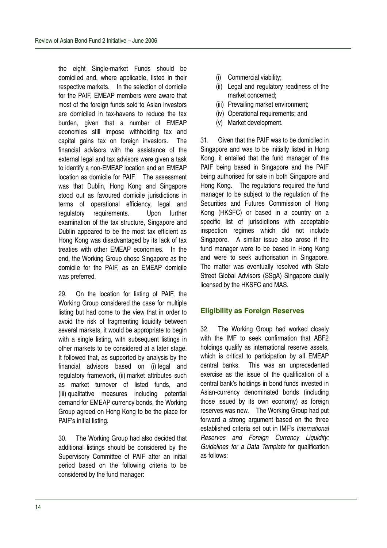the eight Single-market Funds should be domiciled and, where applicable, listed in their respective markets. In the selection of domicile for the PAIF, EMEAP members were aware that most of the foreign funds sold to Asian investors are domiciled in tax-havens to reduce the tax burden, given that a number of EMEAP economies still impose withholding tax and capital gains tax on foreign investors. The financial advisors with the assistance of the external legal and tax advisors were given a task to identify a non-EMEAP location and an EMEAP location as domicile for PAIF. The assessment was that Dublin, Hong Kong and Singapore stood out as favoured domicile jurisdictions in terms of operational efficiency, legal and regulatory requirements. Upon further examination of the tax structure, Singapore and Dublin appeared to be the most tax efficient as Hong Kong was disadvantaged by its lack of tax treaties with other EMEAP economies. In the end, the Working Group chose Singapore as the domicile for the PAIF, as an EMEAP domicile was preferred.

29. On the location for listing of PAIF, the Working Group considered the case for multiple listing but had come to the view that in order to avoid the risk of fragmenting liquidity between several markets, it would be appropriate to begin with a single listing, with subsequent listings in other markets to be considered at a later stage. It followed that, as supported by analysis by the financial advisors based on (i) legal and regulatory framework, (ii) market attributes such as market turnover of listed funds, and (iii) qualitative measures including potential demand for EMEAP currency bonds, the Working Group agreed on Hong Kong to be the place for PAIF's initial listing.

30. The Working Group had also decided that additional listings should be considered by the Supervisory Committee of PAIF after an initial period based on the following criteria to be considered by the fund manager:

- (i) Commercial viability;
- (ii) Legal and regulatory readiness of the market concerned;
- (iii) Prevailing market environment;
- (iv) Operational requirements; and
- (v) Market development.

31. Given that the PAIF was to be domiciled in Singapore and was to be initially listed in Hong Kong, it entailed that the fund manager of the PAIF being based in Singapore and the PAIF being authorised for sale in both Singapore and Hong Kong. The regulations required the fund manager to be subject to the regulation of the Securities and Futures Commission of Hong Kong (HKSFC) or based in a country on a specific list of jurisdictions with acceptable inspection regimes which did not include Singapore. A similar issue also arose if the fund manager were to be based in Hong Kong and were to seek authorisation in Singapore. The matter was eventually resolved with State Street Global Advisors (SSqA) Singapore dually licensed by the HKSFC and MAS.

## **Eligibility as Foreign Reserves**

32. The Working Group had worked closely with the IMF to seek confirmation that ABF2 holdings qualify as international reserve assets, which is critical to participation by all EMEAP central banks. This was an unprecedented exercise as the issue of the qualification of a central bank's holdings in bond funds invested in Asian-currency denominated bonds (including those issued by its own economy) as foreign reserves was new. The Working Group had put forward a strong argument based on the three established criteria set out in IMF's *International Reserves and Foreign Currency Liquidity: Guidelines for a Data Template* for qualification as follows: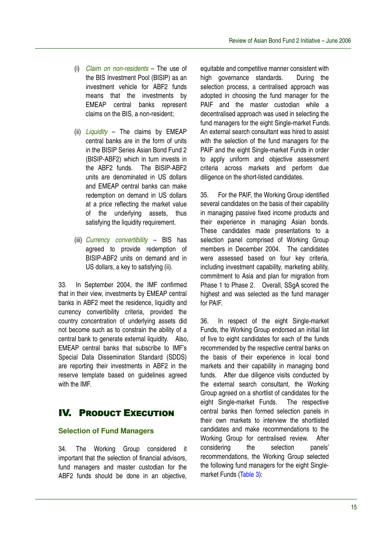- (i) *Claim on non-residents* The use of the BIS Investment Pool (BISIP) as an investment vehicle for ABF2 funds means that the investments by EMEAP central banks represent claims on the BIS, a non-resident;
- (ii) *Liquidity* The claims by EMEAP central banks are in the form of units in the BISIP Series Asian Bond Fund 2 (BISIP-ABF2) which in turn invests in the ABF2 funds. The BISIP-ABF2 units are denominated in US dollars and EMEAP central banks can make redemption on demand in US dollars at a price reflecting the market value of the underlying assets, thus satisfying the liquidity requirement.
- (iii) *Currency convertibility* BIS has agreed to provide redemption of BISIP-ABF2 units on demand and in US dollars, a key to satisfying (ii).

33. In September 2004, the IMF confirmed that in their view, investments by EMEAP central banks in ABF2 meet the residence, liquidity and currency convertibility criteria, provided the country concentration of underlying assets did not become such as to constrain the ability of a central bank to generate external liquidity. Also, EMEAP central banks that subscribe to IMF's Special Data Dissemination Standard (SDDS) are reporting their investments in ABF2 in the reserve template based on guidelines agreed with the IMF.

# **IV. PRODUCT EXECUTION**

# **Selection of Fund Managers**

34. The Working Group considered it important that the selection of financial advisors, fund managers and master custodian for the ABF2 funds should be done in an objective,

equitable and competitive manner consistent with high governance standards. During the selection process, a centralised approach was adopted in choosing the fund manager for the PAIF and the master custodian while a decentralised approach was used in selecting the fund managers for the eight Single-market Funds. An external search consultant was hired to assist with the selection of the fund managers for the PAIF and the eight Single-market Funds in order to apply uniform and objective assessment criteria across markets and perform due diligence on the short-listed candidates.

35. For the PAIF, the Working Group identified several candidates on the basis of their capability in managing passive fixed income products and their experience in managing Asian bonds. These candidates made presentations to a selection panel comprised of Working Group members in December 2004. The candidates were assessed based on four key criteria, including investment capability, marketing ability, commitment to Asia and plan for migration from Phase 1 to Phase 2. Overall, SSqA scored the highest and was selected as the fund manager for PAIF.

36. In respect of the eight Single-market Funds, the Working Group endorsed an initial list of five to eight candidates for each of the funds recommended by the respective central banks on the basis of their experience in local bond markets and their capability in managing bond funds. After due diligence visits conducted by the external search consultant, the Working Group agreed on a shortlist of candidates for the eight Single-market Funds. The respective central banks then formed selection panels in their own markets to interview the shortlisted candidates and make recommendations to the Working Group for centralised review. After considering the selection panels' recommendations, the Working Group selected the following fund managers for the eight Singlemarket Funds (Table 3):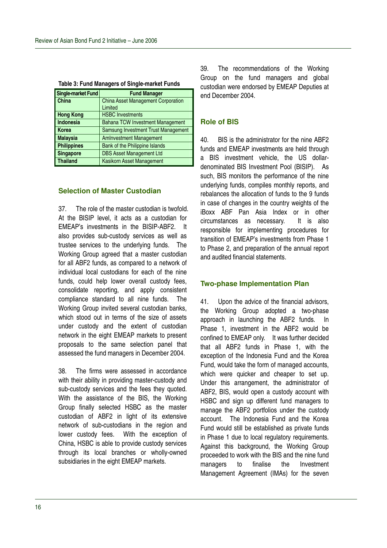| <b>Single-market Fund</b> | <b>Fund Manager</b>                       |
|---------------------------|-------------------------------------------|
| China                     | <b>China Asset Management Corporation</b> |
|                           | Limited                                   |
| <b>Hong Kong</b>          | <b>HSBC Investments</b>                   |
| <b>Indonesia</b>          | Bahana TCW Investment Management          |
| <b>Korea</b>              | Samsung Investment Trust Management       |
| <b>Malaysia</b>           | <b>AmInvestment Management</b>            |
| <b>Philippines</b>        | Bank of the Philippine Islands            |
| <b>Singapore</b>          | <b>DBS Asset Management Ltd</b>           |
| <b>Thailand</b>           | Kasikorn Asset Management                 |

|  |  | Table 3: Fund Managers of Single-market Funds |  |
|--|--|-----------------------------------------------|--|
|  |  |                                               |  |

# **Selection of Master Custodian**

37. The role of the master custodian is twofold. At the BISIP level, it acts as a custodian for EMEAP's investments in the BISIP-ABF2. It also provides sub-custody services as well as trustee services to the underlying funds. The Working Group agreed that a master custodian for all ABF2 funds, as compared to a network of individual local custodians for each of the nine funds, could help lower overall custody fees, consolidate reporting, and apply consistent compliance standard to all nine funds. The Working Group invited several custodian banks, which stood out in terms of the size of assets under custody and the extent of custodian network in the eight EMEAP markets to present proposals to the same selection panel that assessed the fund managers in December 2004.

38. The firms were assessed in accordance with their ability in providing master-custody and sub-custody services and the fees they quoted. With the assistance of the BIS, the Working Group finally selected HSBC as the master custodian of ABF2 in light of its extensive network of sub-custodians in the region and lower custody fees. With the exception of China, HSBC is able to provide custody services through its local branches or wholly-owned subsidiaries in the eight EMEAP markets.

39. The recommendations of the Working Group on the fund managers and global custodian were endorsed by EMEAP Deputies at end December 2004.

### **Role of BIS**

40. BIS is the administrator for the nine ABF2 funds and EMEAP investments are held through a BIS investment vehicle, the US dollardenominated BIS Investment Pool (BISIP). As such, BIS monitors the performance of the nine underlying funds, compiles monthly reports, and rebalances the allocation of funds to the 9 funds in case of changes in the country weights of the iBoxx ABF Pan Asia Index or in other circumstances as necessary. It is also responsible for implementing procedures for transition of EMEAP's investments from Phase 1 to Phase 2, and preparation of the annual report and audited financial statements.

#### **Two-phase Implementation Plan**

41. Upon the advice of the financial advisors, the Working Group adopted a two-phase approach in launching the ABF2 funds. In Phase 1, investment in the ABF2 would be confined to EMEAP only. It was further decided that all ABF2 funds in Phase 1, with the exception of the Indonesia Fund and the Korea Fund, would take the form of managed accounts, which were quicker and cheaper to set up. Under this arrangement, the administrator of ABF2, BIS, would open a custody account with HSBC and sign up different fund managers to manage the ABF2 portfolios under the custody account. The Indonesia Fund and the Korea Fund would still be established as private funds in Phase 1 due to local regulatory requirements. Against this background, the Working Group proceeded to work with the BIS and the nine fund managers to finalise the Investment Management Agreement (IMAs) for the seven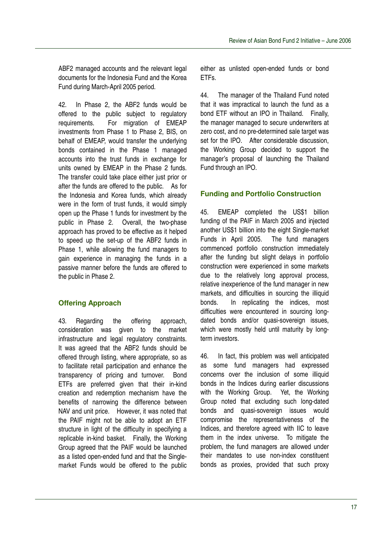ABF2 managed accounts and the relevant legal documents for the Indonesia Fund and the Korea Fund during March-April 2005 period.

42. In Phase 2, the ABF2 funds would be offered to the public subject to regulatory requirements. For migration of EMEAP investments from Phase 1 to Phase 2, BIS, on behalf of EMEAP, would transfer the underlying bonds contained in the Phase 1 managed accounts into the trust funds in exchange for units owned by EMEAP in the Phase 2 funds. The transfer could take place either just prior or after the funds are offered to the public. As for the Indonesia and Korea funds, which already were in the form of trust funds, it would simply open up the Phase 1 funds for investment by the public in Phase 2. Overall, the two-phase approach has proved to be effective as it helped to speed up the set-up of the ABF2 funds in Phase 1, while allowing the fund managers to gain experience in managing the funds in a passive manner before the funds are offered to the public in Phase 2.

# **Offering Approach**

43. Regarding the offering approach, consideration was given to the market infrastructure and legal regulatory constraints. It was agreed that the ABF2 funds should be offered through listing, where appropriate, so as to facilitate retail participation and enhance the transparency of pricing and turnover. Bond ETFs are preferred given that their in-kind creation and redemption mechanism have the benefits of narrowing the difference between NAV and unit price. However, it was noted that the PAIF might not be able to adopt an ETF structure in light of the difficulty in specifying a replicable in-kind basket. Finally, the Working Group agreed that the PAIF would be launched as a listed open-ended fund and that the Singlemarket Funds would be offered to the public either as unlisted open-ended funds or bond ETFs.

44. The manager of the Thailand Fund noted that it was impractical to launch the fund as a bond ETF without an IPO in Thailand. Finally, the manager managed to secure underwriters at zero cost, and no pre-determined sale target was set for the IPO. After considerable discussion, the Working Group decided to support the manager's proposal of launching the Thailand Fund through an IPO.

# **Funding and Portfolio Construction**

45. EMEAP completed the US\$1 billion funding of the PAIF in March 2005 and injected another US\$1 billion into the eight Single-market Funds in April 2005. The fund managers commenced portfolio construction immediately after the funding but slight delays in portfolio construction were experienced in some markets due to the relatively long approval process, relative inexperience of the fund manager in new markets, and difficulties in sourcing the illiquid bonds. In replicating the indices, most difficulties were encountered in sourcing longdated bonds and/or quasi-sovereign issues, which were mostly held until maturity by longterm investors.

46. In fact, this problem was well anticipated as some fund managers had expressed concerns over the inclusion of some illiquid bonds in the Indices during earlier discussions with the Working Group. Yet, the Working Group noted that excluding such long-dated bonds and quasi-sovereign issues would compromise the representativeness of the Indices, and therefore agreed with IIC to leave them in the index universe. To mitigate the problem, the fund managers are allowed under their mandates to use non-index constituent bonds as proxies, provided that such proxy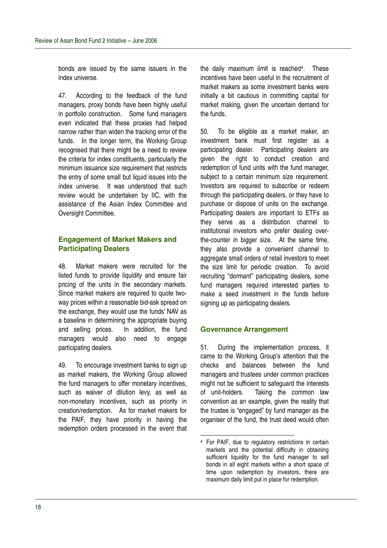bonds are issued by the same issuers in the index universe.

47. According to the feedback of the fund managers, proxy bonds have been highly useful in portfolio construction. Some fund managers even indicated that these proxies had helped narrow rather than widen the tracking error of the funds. In the longer term, the Working Group recognised that there might be a need to review the criteria for index constituents, particularly the minimum issuance size requirement that restricts the entry of some small but liquid issues into the index universe. It was understood that such review would be undertaken by IIC, with the assistance of the Asian Index Committee and Oversight Committee.

## **Engagement of Market Makers and Participating Dealers**

48. Market makers were recruited for the listed funds to provide liquidity and ensure fair pricing of the units in the secondary markets. Since market makers are required to quote twoway prices within a reasonable bid-ask spread on the exchange, they would use the funds' NAV as a baseline in determining the appropriate buying and selling prices. In addition, the fund managers would also need to engage participating dealers.

49. To encourage investment banks to sign up as market makers, the Working Group allowed the fund managers to offer monetary incentives, such as waiver of dilution levy, as well as non-monetary incentives, such as priority in creation/redemption. As for market makers for the PAIF, they have priority in having the redemption orders processed in the event that

the daily maximum limit is reached 4 . These incentives have been useful in the recruitment of market makers as some investment banks were initially a bit cautious in committing capital for market making, given the uncertain demand for the funds.

50. To be eligible as a market maker, an investment bank must first register as a participating dealer. Participating dealers are given the right to conduct creation and redemption of fund units with the fund manager, subject to a certain minimum size requirement. Investors are required to subscribe or redeem through the participating dealers, or they have to purchase or dispose of units on the exchange. Participating dealers are important to ETFs as they serve as a distribution channel to institutional investors who prefer dealing overthe-counter in bigger size. At the same time, they also provide a convenient channel to aggregate small orders of retail investors to meet the size limit for periodic creation. To avoid recruiting "dormant" participating dealers, some fund managers required interested parties to make a seed investment in the funds before signing up as participating dealers.

#### **Governance Arrangement**

51. During the implementation process, it came to the Working Group's attention that the checks and balances between the fund managers and trustees under common practices might not be sufficient to safeguard the interests of unit-holders. Taking the common law convention as an example, given the reality that the trustee is "engaged" by fund manager as the organiser of the fund, the trust deed would often

<sup>4</sup> For PAIF, due to regulatory restrictions in certain markets and the potential difficulty in obtaining sufficient liquidity for the fund manager to sell bonds in all eight markets within a short space of time upon redemption by investors, there are maximum daily limit put in place for redemption.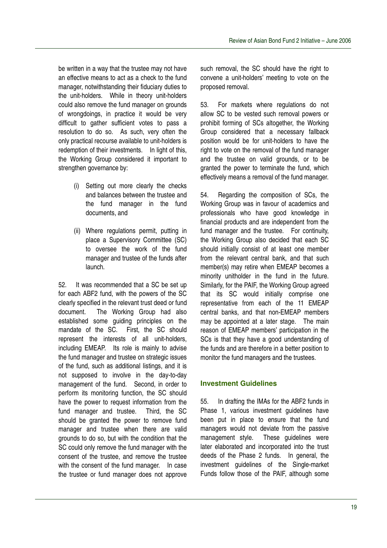be written in a way that the trustee may not have an effective means to act as a check to the fund manager, notwithstanding their fiduciary duties to the unit-holders. While in theory unit-holders could also remove the fund manager on grounds of wrongdoings, in practice it would be very difficult to gather sufficient votes to pass a resolution to do so. As such, very often the only practical recourse available to unit-holders is redemption of their investments. In light of this, the Working Group considered it important to strengthen governance by:

- (i) Setting out more clearly the checks and balances between the trustee and the fund manager in the fund documents, and
- (ii) Where regulations permit, putting in place a Supervisory Committee (SC) to oversee the work of the fund manager and trustee of the funds after launch.

52. It was recommended that a SC be set up for each ABF2 fund, with the powers of the SC clearly specified in the relevant trust deed or fund document. The Working Group had also established some guiding principles on the mandate of the SC. First, the SC should represent the interests of all unit-holders, including EMEAP. Its role is mainly to advise the fund manager and trustee on strategic issues of the fund, such as additional listings, and it is not supposed to involve in the day-to-day management of the fund. Second, in order to perform its monitoring function, the SC should have the power to request information from the fund manager and trustee. Third, the SC should be granted the power to remove fund manager and trustee when there are valid grounds to do so, but with the condition that the SC could only remove the fund manager with the consent of the trustee, and remove the trustee with the consent of the fund manager. In case the trustee or fund manager does not approve

such removal, the SC should have the right to convene a unit-holders' meeting to vote on the proposed removal.

53. For markets where regulations do not allow SC to be vested such removal powers or prohibit forming of SCs altogether, the Working Group considered that a necessary fallback position would be for unit-holders to have the right to vote on the removal of the fund manager and the trustee on valid grounds, or to be granted the power to terminate the fund, which effectively means a removal of the fund manager.

54. Regarding the composition of SCs, the Working Group was in favour of academics and professionals who have good knowledge in financial products and are independent from the fund manager and the trustee. For continuity, the Working Group also decided that each SC should initially consist of at least one member from the relevant central bank, and that such member(s) may retire when EMEAP becomes a minority unitholder in the fund in the future. Similarly, for the PAIF, the Working Group agreed that its SC would initially comprise one representative from each of the 11 EMEAP central banks, and that non-EMEAP members may be appointed at a later stage. The main reason of EMEAP members' participation in the SCs is that they have a good understanding of the funds and are therefore in a better position to monitor the fund managers and the trustees.

# **Investment Guidelines**

55. In drafting the IMAs for the ABF2 funds in Phase 1, various investment guidelines have been put in place to ensure that the fund managers would not deviate from the passive management style. These guidelines were later elaborated and incorporated into the trust deeds of the Phase 2 funds. In general, the investment guidelines of the Single-market Funds follow those of the PAIF, although some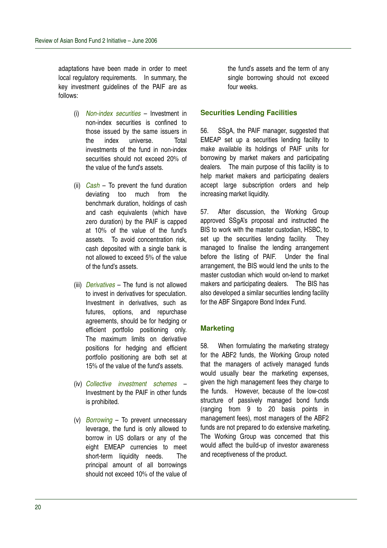adaptations have been made in order to meet local regulatory requirements. In summary, the key investment guidelines of the PAIF are as follows:

- (i) *Non-index securities* Investment in non-index securities is confined to those issued by the same issuers in the index universe. Total investments of the fund in non-index securities should not exceed 20% of the value of the fund's assets.
- (ii) *Cash* To prevent the fund duration deviating too much from the benchmark duration, holdings of cash and cash equivalents (which have zero duration) by the PAIF is capped at 10% of the value of the fund's assets. To avoid concentration risk, cash deposited with a single bank is not allowed to exceed 5% of the value of the fund's assets.
- (iii) *Derivatives* The fund is not allowed to invest in derivatives for speculation. Investment in derivatives, such as futures, options, and repurchase agreements, should be for hedging or efficient portfolio positioning only. The maximum limits on derivative positions for hedging and efficient portfolio positioning are both set at 15% of the value of the fund's assets.
- (iv) *Collective investment schemes* Investment by the PAIF in other funds is prohibited.
- (v) *Borrowing* To prevent unnecessary leverage, the fund is only allowed to borrow in US dollars or any of the eight EMEAP currencies to meet short-term liquidity needs. The principal amount of all borrowings should not exceed 10% of the value of

the fund's assets and the term of any single borrowing should not exceed four weeks.

#### **Securities Lending Facilities**

56. SSgA, the PAIF manager, suggested that EMEAP set up a securities lending facility to make available its holdings of PAIF units for borrowing by market makers and participating dealers. The main purpose of this facility is to help market makers and participating dealers accept large subscription orders and help increasing market liquidity.

57. After discussion, the Working Group approved SSgA's proposal and instructed the BIS to work with the master custodian, HSBC, to set up the securities lending facility. They managed to finalise the lending arrangement before the listing of PAIF. Under the final arrangement, the BIS would lend the units to the master custodian which would on-lend to market makers and participating dealers. The BIS has also developed a similar securities lending facility for the ABF Singapore Bond Index Fund.

#### **Marketing**

58. When formulating the marketing strategy for the ABF2 funds, the Working Group noted that the managers of actively managed funds would usually bear the marketing expenses, given the high management fees they charge to the funds. However, because of the low-cost structure of passively managed bond funds (ranging from 9 to 20 basis points in management fees), most managers of the ABF2 funds are not prepared to do extensive marketing. The Working Group was concerned that this would affect the build-up of investor awareness and receptiveness of the product.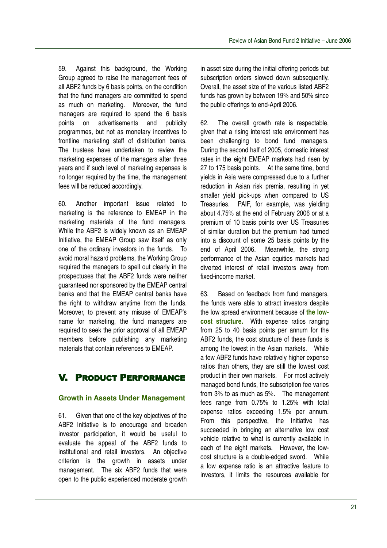59. Against this background, the Working Group agreed to raise the management fees of all ABF2 funds by 6 basis points, on the condition that the fund managers are committed to spend as much on marketing. Moreover, the fund managers are required to spend the 6 basis points on advertisements and publicity programmes, but not as monetary incentives to frontline marketing staff of distribution banks. The trustees have undertaken to review the marketing expenses of the managers after three years and if such level of marketing expenses is no longer required by the time, the management fees will be reduced accordingly.

60. Another important issue related to marketing is the reference to EMEAP in the marketing materials of the fund managers. While the ABF2 is widely known as an EMEAP Initiative, the EMEAP Group saw itself as only one of the ordinary investors in the funds. To avoid moral hazard problems, the Working Group required the managers to spell out clearly in the prospectuses that the ABF2 funds were neither guaranteed nor sponsored by the EMEAP central banks and that the EMEAP central banks have the right to withdraw anytime from the funds. Moreover, to prevent any misuse of EMEAP's name for marketing, the fund managers are required to seek the prior approval of all EMEAP members before publishing any marketing materials that contain references to EMEAP.

# V. PRODUCT PERFORMANCE

# **Growth in Assets Under Management**

61. Given that one of the key objectives of the ABF2 Initiative is to encourage and broaden investor participation, it would be useful to evaluate the appeal of the ABF2 funds to institutional and retail investors. An objective criterion is the growth in assets under management. The six ABF2 funds that were open to the public experienced moderate growth

in asset size during the initial offering periods but subscription orders slowed down subsequently. Overall, the asset size of the various listed ABF2 funds has grown by between 19% and 50% since the public offerings to end-April 2006.

62. The overall growth rate is respectable, given that a rising interest rate environment has been challenging to bond fund managers. During the second half of 2005, domestic interest rates in the eight EMEAP markets had risen by 27 to 175 basis points. At the same time, bond yields in Asia were compressed due to a further reduction in Asian risk premia, resulting in yet smaller yield pick-ups when compared to US Treasuries. PAIF, for example, was yielding about 4.75% at the end of February 2006 or at a premium of 10 basis points over US Treasuries of similar duration but the premium had turned into a discount of some 25 basis points by the end of April 2006. Meanwhile, the strong performance of the Asian equities markets had diverted interest of retail investors away from fixed-income market.

63. Based on feedback from fund managers, the funds were able to attract investors despite the low spread environment because of **the lowcost structure.** With expense ratios ranging from 25 to 40 basis points per annum for the ABF2 funds, the cost structure of these funds is among the lowest in the Asian markets. While a few ABF2 funds have relatively higher expense ratios than others, they are still the lowest cost product in their own markets. For most actively managed bond funds, the subscription fee varies from 3% to as much as 5%. The management fees range from 0.75% to 1.25% with total expense ratios exceeding 1.5% per annum. From this perspective, the Initiative has succeeded in bringing an alternative low cost vehicle relative to what is currently available in each of the eight markets. However, the lowcost structure is a double-edged sword. While a low expense ratio is an attractive feature to investors, it limits the resources available for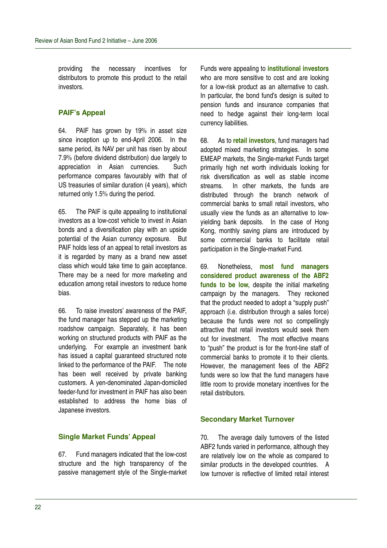providing the necessary incentives for distributors to promote this product to the retail investors.

# **PAIF's Appeal**

64. PAIF has grown by 19% in asset size since inception up to end-April 2006. In the same period, its NAV per unit has risen by about 7.9% (before dividend distribution) due largely to appreciation in Asian currencies. Such performance compares favourably with that of US treasuries of similar duration (4 years), which returned only 1.5% during the period.

65. The PAIF is quite appealing to institutional investors as a low-cost vehicle to invest in Asian bonds and a diversification play with an upside potential of the Asian currency exposure. But PAIF holds less of an appeal to retail investors as it is regarded by many as a brand new asset class which would take time to gain acceptance. There may be a need for more marketing and education among retail investors to reduce home bias.

66. To raise investors' awareness of the PAIF, the fund manager has stepped up the marketing roadshow campaign. Separately, it has been working on structured products with PAIF as the underlying. For example an investment bank has issued a capital guaranteed structured note linked to the performance of the PAIF. The note has been well received by private banking customers. A yen-denominated Japan-domiciled feeder-fund for investment in PAIF has also been established to address the home bias of Japanese investors.

# **Single Market Funds' Appeal**

67. Fund managers indicated that the low-cost structure and the high transparency of the passive management style of the Single-market

Funds were appealing to **institutional investors** who are more sensitive to cost and are looking for a low-risk product as an alternative to cash. In particular, the bond fund's design is suited to pension funds and insurance companies that need to hedge against their long-term local currency liabilities.

68. As to **retail investors**, fund managers had adopted mixed marketing strategies. In some EMEAP markets, the Single-market Funds target primarily high net worth individuals looking for risk diversification as well as stable income streams. In other markets, the funds are distributed through the branch network of commercial banks to small retail investors, who usually view the funds as an alternative to lowyielding bank deposits. In the case of Hong Kong, monthly saving plans are introduced by some commercial banks to facilitate retail participation in the Single-market Fund.

69. Nonetheless, **most fund managers considered product awareness of the ABF2 funds to be low,** despite the initial marketing campaign by the managers. They reckoned that the product needed to adopt a "supply push" approach (i.e. distribution through a sales force) because the funds were not so compellingly attractive that retail investors would seek them out for investment. The most effective means to "push" the product is for the front-line staff of commercial banks to promote it to their clients. However, the management fees of the ABF2 funds were so low that the fund managers have little room to provide monetary incentives for the retail distributors.

## **Secondary Market Turnover**

70. The average daily turnovers of the listed ABF2 funds varied in performance, although they are relatively low on the whole as compared to similar products in the developed countries. A low turnover is reflective of limited retail interest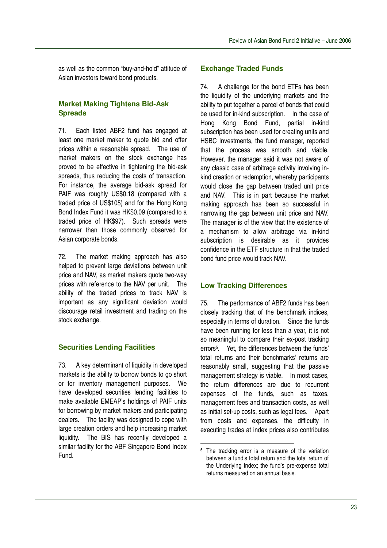as well as the common "buy-and-hold" attitude of Asian investors toward bond products.

# **Market Making Tightens Bid-Ask Spreads**

71. Each listed ABF2 fund has engaged at least one market maker to quote bid and offer prices within a reasonable spread. The use of market makers on the stock exchange has proved to be effective in tightening the bid-ask spreads, thus reducing the costs of transaction. For instance, the average bid-ask spread for PAIF was roughly US\$0.18 (compared with a traded price of US\$105) and for the Hong Kong Bond Index Fund it was HK\$0.09 (compared to a traded price of HK\$97). Such spreads were narrower than those commonly observed for Asian corporate bonds.

72. The market making approach has also helped to prevent large deviations between unit price and NAV, as market makers quote two-way prices with reference to the NAV per unit. The ability of the traded prices to track NAV is important as any significant deviation would discourage retail investment and trading on the stock exchange.

## **Securities Lending Facilities**

73. A key determinant of liquidity in developed markets is the ability to borrow bonds to go short or for inventory management purposes. We have developed securities lending facilities to make available EMEAP's holdings of PAIF units for borrowing by market makers and participating dealers. The facility was designed to cope with large creation orders and help increasing market liquidity. The BIS has recently developed a similar facility for the ABF Singapore Bond Index Fund.

#### **Exchange Traded Funds**

74. A challenge for the bond ETFs has been the liquidity of the underlying markets and the ability to put together a parcel of bonds that could be used for in-kind subscription. In the case of Hong Kong Bond Fund, partial in-kind subscription has been used for creating units and HSBC Investments, the fund manager, reported that the process was smooth and viable. However, the manager said it was not aware of any classic case of arbitrage activity involving inkind creation or redemption, whereby participants would close the gap between traded unit price and NAV. This is in part because the market making approach has been so successful in narrowing the gap between unit price and NAV. The manager is of the view that the existence of a mechanism to allow arbitrage via in-kind subscription is desirable as it provides confidence in the ETF structure in that the traded bond fund price would track NAV.

## **Low Tracking Differences**

75. The performance of ABF2 funds has been closely tracking that of the benchmark indices, especially in terms of duration. Since the funds have been running for less than a year, it is not so meaningful to compare their ex-post tracking errors 5 . Yet, the differences between the funds' total returns and their benchmarks' returns are reasonably small, suggesting that the passive management strategy is viable. In most cases, the return differences are due to recurrent expenses of the funds, such as taxes, management fees and transaction costs, as well as initial set-up costs, such as legal fees. Apart from costs and expenses, the difficulty in executing trades at index prices also contributes

<sup>&</sup>lt;sup>5</sup> The tracking error is a measure of the variation between a fund's total return and the total return of the Underlying Index; the fund's pre-expense total returns measured on an annual basis.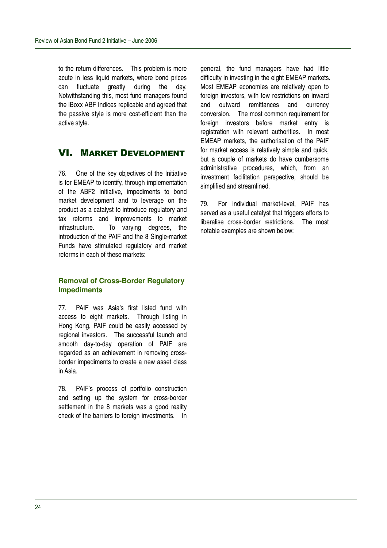to the return differences. This problem is more acute in less liquid markets, where bond prices can fluctuate greatly during the day. Notwithstanding this, most fund managers found the iBoxx ABF Indices replicable and agreed that the passive style is more cost-efficient than the active style.

# VI. MARKET DEVELOPMENT

76. One of the key objectives of the Initiative is for EMEAP to identify, through implementation of the ABF2 Initiative, impediments to bond market development and to leverage on the product as a catalyst to introduce regulatory and tax reforms and improvements to market infrastructure. To varying degrees, the introduction of the PAIF and the 8 Single-market Funds have stimulated regulatory and market reforms in each of these markets:

#### **Removal of Cross-Border Regulatory Impediments**

77. PAIF was Asia's first listed fund with access to eight markets. Through listing in Hong Kong, PAIF could be easily accessed by regional investors. The successful launch and smooth day-to-day operation of PAIF are regarded as an achievement in removing crossborder impediments to create a new asset class in Asia.

78. PAIF's process of portfolio construction and setting up the system for cross-border settlement in the 8 markets was a good reality check of the barriers to foreign investments. In

general, the fund managers have had little difficulty in investing in the eight EMEAP markets. Most EMEAP economies are relatively open to foreign investors, with few restrictions on inward and outward remittances and currency conversion. The most common requirement for foreign investors before market entry is registration with relevant authorities. In most EMEAP markets, the authorisation of the PAIF for market access is relatively simple and quick, but a couple of markets do have cumbersome administrative procedures, which, from an investment facilitation perspective, should be simplified and streamlined.

79. For individual market-level, PAIF has served as a useful catalyst that triggers efforts to liberalise cross-border restrictions. The most notable examples are shown below: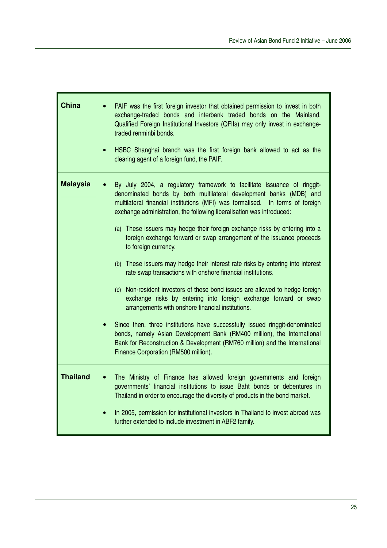| <b>China</b>    | PAIF was the first foreign investor that obtained permission to invest in both<br>exchange-traded bonds and interbank traded bonds on the Mainland.<br>Qualified Foreign Institutional Investors (QFIIs) may only invest in exchange-<br>traded renminbi bonds.<br>HSBC Shanghai branch was the first foreign bank allowed to act as the<br>clearing agent of a foreign fund, the PAIF.                                                                                                                                                                                                                                                                                                                                                                                                                                                                                                                                                                                                                                                                                                                                             |
|-----------------|-------------------------------------------------------------------------------------------------------------------------------------------------------------------------------------------------------------------------------------------------------------------------------------------------------------------------------------------------------------------------------------------------------------------------------------------------------------------------------------------------------------------------------------------------------------------------------------------------------------------------------------------------------------------------------------------------------------------------------------------------------------------------------------------------------------------------------------------------------------------------------------------------------------------------------------------------------------------------------------------------------------------------------------------------------------------------------------------------------------------------------------|
| <b>Malaysia</b> | By July 2004, a regulatory framework to facilitate issuance of ringgit-<br>denominated bonds by both multilateral development banks (MDB) and<br>multilateral financial institutions (MFI) was formalised. In terms of foreign<br>exchange administration, the following liberalisation was introduced:<br>(a) These issuers may hedge their foreign exchange risks by entering into a<br>foreign exchange forward or swap arrangement of the issuance proceeds<br>to foreign currency.<br>(b) These issuers may hedge their interest rate risks by entering into interest<br>rate swap transactions with onshore financial institutions.<br>(c) Non-resident investors of these bond issues are allowed to hedge foreign<br>exchange risks by entering into foreign exchange forward or swap<br>arrangements with onshore financial institutions.<br>Since then, three institutions have successfully issued ringgit-denominated<br>bonds, namely Asian Development Bank (RM400 million), the International<br>Bank for Reconstruction & Development (RM760 million) and the International<br>Finance Corporation (RM500 million). |
| <b>Thailand</b> | The Ministry of Finance has allowed foreign governments and foreign<br>governments' financial institutions to issue Baht bonds or debentures in<br>Thailand in order to encourage the diversity of products in the bond market.<br>In 2005, permission for institutional investors in Thailand to invest abroad was<br>further extended to include investment in ABF2 family.                                                                                                                                                                                                                                                                                                                                                                                                                                                                                                                                                                                                                                                                                                                                                       |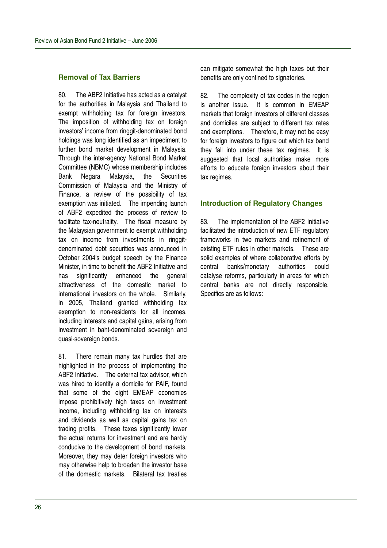#### **Removal of Tax Barriers**

80. The ABF2 Initiative has acted as a catalyst for the authorities in Malaysia and Thailand to exempt withholding tax for foreign investors. The imposition of withholding tax on foreign investors' income from ringgit-denominated bond holdings was long identified as an impediment to further bond market development in Malaysia. Through the inter-agency National Bond Market Committee (NBMC) whose membership includes Bank Negara Malaysia, the Securities Commission of Malaysia and the Ministry of Finance, a review of the possibility of tax exemption was initiated. The impending launch of ABF2 expedited the process of review to facilitate tax-neutrality. The fiscal measure by the Malaysian government to exempt withholding tax on income from investments in ringgitdenominated debt securities was announced in October 2004's budget speech by the Finance Minister, in time to benefit the ABF2 Initiative and has significantly enhanced the general attractiveness of the domestic market to international investors on the whole. Similarly, in 2005, Thailand granted withholding tax exemption to non-residents for all incomes, including interests and capital gains, arising from investment in baht-denominated sovereign and quasi-sovereign bonds.

81. There remain many tax hurdles that are highlighted in the process of implementing the ABF2 Initiative. The external tax advisor, which was hired to identify a domicile for PAIF, found that some of the eight EMEAP economies impose prohibitively high taxes on investment income, including withholding tax on interests and dividends as well as capital gains tax on trading profits. These taxes significantly lower the actual returns for investment and are hardly conducive to the development of bond markets. Moreover, they may deter foreign investors who may otherwise help to broaden the investor base of the domestic markets. Bilateral tax treaties

can mitigate somewhat the high taxes but their benefits are only confined to signatories.

82. The complexity of tax codes in the region is another issue. It is common in EMEAP markets that foreign investors of different classes and domiciles are subject to different tax rates and exemptions. Therefore, it may not be easy for foreign investors to figure out which tax band they fall into under these tax regimes. It is suggested that local authorities make more efforts to educate foreign investors about their tax regimes.

#### **Introduction of Regulatory Changes**

83. The implementation of the ABF2 Initiative facilitated the introduction of new ETF regulatory frameworks in two markets and refinement of existing ETF rules in other markets. These are solid examples of where collaborative efforts by central banks/monetary authorities could catalyse reforms, particularly in areas for which central banks are not directly responsible. Specifics are as follows: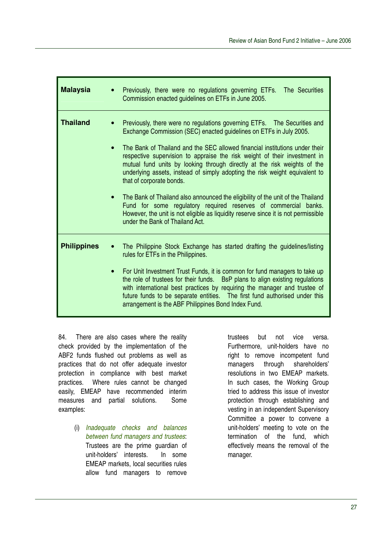| <b>Malaysia</b>    | Previously, there were no regulations governing ETFs. The Securities<br>Commission enacted guidelines on ETFs in June 2005.                                                                                                                                                                                                                                                                                                                                                                                                                                                                                                                                                                                                                                                      |
|--------------------|----------------------------------------------------------------------------------------------------------------------------------------------------------------------------------------------------------------------------------------------------------------------------------------------------------------------------------------------------------------------------------------------------------------------------------------------------------------------------------------------------------------------------------------------------------------------------------------------------------------------------------------------------------------------------------------------------------------------------------------------------------------------------------|
| <b>Thailand</b>    | Previously, there were no regulations governing ETFs. The Securities and<br>Exchange Commission (SEC) enacted guidelines on ETFs in July 2005.<br>The Bank of Thailand and the SEC allowed financial institutions under their<br>respective supervision to appraise the risk weight of their investment in<br>mutual fund units by looking through directly at the risk weights of the<br>underlying assets, instead of simply adopting the risk weight equivalent to<br>that of corporate bonds.<br>The Bank of Thailand also announced the eligibility of the unit of the Thailand<br>Fund for some regulatory required reserves of commercial banks.<br>However, the unit is not eligible as liquidity reserve since it is not permissible<br>under the Bank of Thailand Act. |
| <b>Philippines</b> | The Philippine Stock Exchange has started drafting the guidelines/listing<br>rules for ETFs in the Philippines.<br>For Unit Investment Trust Funds, it is common for fund managers to take up<br>the role of trustees for their funds. BsP plans to align existing regulations<br>with international best practices by requiring the manager and trustee of<br>future funds to be separate entities. The first fund authorised under this<br>arrangement is the ABF Philippines Bond Index Fund.                                                                                                                                                                                                                                                                                 |

84. There are also cases where the reality check provided by the implementation of the ABF2 funds flushed out problems as well as practices that do not offer adequate investor protection in compliance with best market practices. Where rules cannot be changed easily, EMEAP have recommended interim measures and partial solutions. Some examples:

> (i) *Inadequate checks and balances between fund managers and trustees*: Trustees are the prime guardian of unit-holders' interests. In some EMEAP markets, local securities rules allow fund managers to remove

trustees but not vice versa. Furthermore, unit-holders have no right to remove incompetent fund managers through shareholders' resolutions in two EMEAP markets. In such cases, the Working Group tried to address this issue of investor protection through establishing and vesting in an independent Supervisory Committee a power to convene a unit-holders' meeting to vote on the termination of the fund, which effectively means the removal of the manager.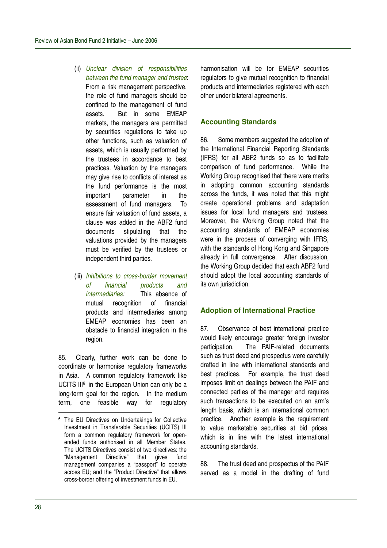- (ii) *Unclear division of responsibilities between the fund manager and trustee*: From a risk management perspective, the role of fund managers should be confined to the management of fund assets. But in some EMEAP markets, the managers are permitted by securities regulations to take up other functions, such as valuation of assets, which is usually performed by the trustees in accordance to best practices. Valuation by the managers may give rise to conflicts of interest as the fund performance is the most important parameter in the assessment of fund managers. To ensure fair valuation of fund assets, a clause was added in the ABF2 fund documents stipulating that the valuations provided by the managers must be verified by the trustees or independent third parties.
- (iii) *Inhibitions to cross-border movement of financial products and intermediaries:* This absence of mutual recognition of financial products and intermediaries among EMEAP economies has been an obstacle to financial integration in the region.

85. Clearly, further work can be done to coordinate or harmonise regulatory frameworks in Asia. A common regulatory framework like UCITS III<sup>6</sup> in the European Union can only be a long-term goal for the region. In the medium term, one feasible way for regulatory harmonisation will be for EMEAP securities regulators to give mutual recognition to financial products and intermediaries registered with each other under bilateral agreements.

# **Accounting Standards**

86. Some members suggested the adoption of the International Financial Reporting Standards (IFRS) for all ABF2 funds so as to facilitate comparison of fund performance. While the Working Group recognised that there were merits in adopting common accounting standards across the funds, it was noted that this might create operational problems and adaptation issues for local fund managers and trustees. Moreover, the Working Group noted that the accounting standards of EMEAP economies were in the process of converging with IFRS, with the standards of Hong Kong and Singapore already in full convergence. After discussion, the Working Group decided that each ABF2 fund should adopt the local accounting standards of its own jurisdiction.

## **Adoption of International Practice**

87. Observance of best international practice would likely encourage greater foreign investor participation. The PAIF-related documents such as trust deed and prospectus were carefully drafted in line with international standards and best practices. For example, the trust deed imposes limit on dealings between the PAIF and connected parties of the manager and requires such transactions to be executed on an arm's length basis, which is an international common practice. Another example is the requirement to value marketable securities at bid prices, which is in line with the latest international accounting standards.

88. The trust deed and prospectus of the PAIF served as a model in the drafting of fund

<sup>&</sup>lt;sup>6</sup> The EU Directives on Undertakings for Collective Investment in Transferable Securities (UCITS) III form a common regulatory framework for openended funds authorised in all Member States. The UCITS Directives consist of two directives: the "Management Directive" that gives fund "Management Directive" that gives fund management companies a "passport" to operate across EU; and the "Product Directive" that allows cross-border offering of investment funds in EU.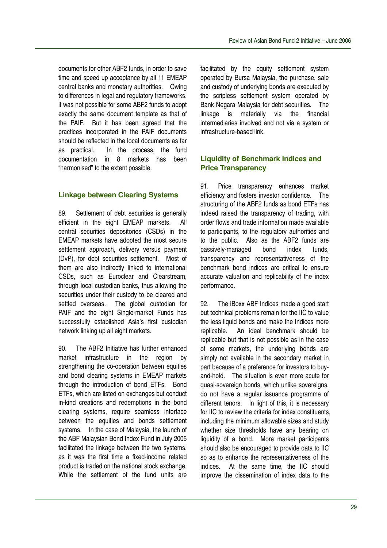documents for other ABF2 funds, in order to save time and speed up acceptance by all 11 EMEAP central banks and monetary authorities. Owing to differences in legal and regulatory frameworks, it was not possible for some ABF2 funds to adopt exactly the same document template as that of the PAIF. But it has been agreed that the practices incorporated in the PAIF documents should be reflected in the local documents as far as practical. In the process, the fund documentation in 8 markets has been "harmonised" to the extent possible.

# **Linkage between Clearing Systems**

89. Settlement of debt securities is generally efficient in the eight EMEAP markets. All central securities depositories (CSDs) in the EMEAP markets have adopted the most secure settlement approach, delivery versus payment (DvP), for debt securities settlement. Most of them are also indirectly linked to international CSDs, such as Euroclear and Clearstream, through local custodian banks, thus allowing the securities under their custody to be cleared and settled overseas. The global custodian for PAIF and the eight Single-market Funds has successfully established Asia's first custodian network linking up all eight markets.

90. The ABF2 Initiative has further enhanced market infrastructure in the region by strengthening the co-operation between equities and bond clearing systems in EMEAP markets through the introduction of bond ETFs. Bond ETFs, which are listed on exchanges but conduct in-kind creations and redemptions in the bond clearing systems, require seamless interface between the equities and bonds settlement systems. In the case of Malaysia, the launch of the ABF Malaysian Bond Index Fund in July 2005 facilitated the linkage between the two systems. as it was the first time a fixed-income related product is traded on the national stock exchange. While the settlement of the fund units are

facilitated by the equity settlement system operated by Bursa Malaysia, the purchase, sale and custody of underlying bonds are executed by the scripless settlement system operated by Bank Negara Malaysia for debt securities. The linkage is materially via the financial intermediaries involved and not via a system or infrastructure-based link.

# **Liquidity of Benchmark Indices and Price Transparency**

91. Price transparency enhances market efficiency and fosters investor confidence. The structuring of the ABF2 funds as bond ETFs has indeed raised the transparency of trading, with order flows and trade information made available to participants, to the regulatory authorities and to the public. Also as the ABF2 funds are passively-managed bond index funds, transparency and representativeness of the benchmark bond indices are critical to ensure accurate valuation and replicability of the index performance.

92. The iBoxx ABF Indices made a good start but technical problems remain for the IIC to value the less liquid bonds and make the Indices more replicable. An ideal benchmark should be replicable but that is not possible as in the case of some markets, the underlying bonds are simply not available in the secondary market in part because of a preference for investors to buyand-hold. The situation is even more acute for quasi-sovereign bonds, which unlike sovereigns, do not have a regular issuance programme of different tenors. In light of this, it is necessary for IIC to review the criteria for index constituents, including the minimum allowable sizes and study whether size thresholds have any bearing on liquidity of a bond. More market participants should also be encouraged to provide data to IIC so as to enhance the representativeness of the indices. At the same time, the IIC should improve the dissemination of index data to the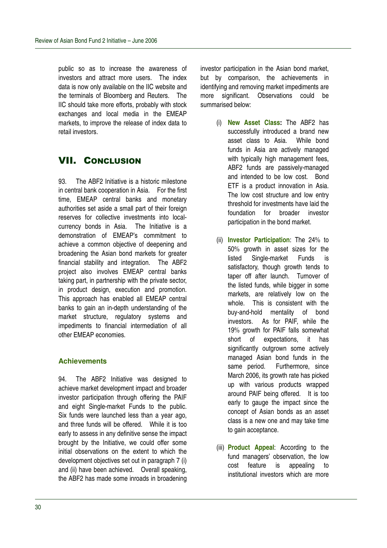public so as to increase the awareness of investors and attract more users. The index data is now only available on the IIC website and the terminals of Bloomberg and Reuters. The IIC should take more efforts, probably with stock exchanges and local media in the EMEAP markets, to improve the release of index data to retail investors.

# **VII. CONCLUSION**

93. The ABF2 Initiative is a historic milestone in central bank cooperation in Asia. For the first time, EMEAP central banks and monetary authorities set aside a small part of their foreign reserves for collective investments into localcurrency bonds in Asia. The Initiative is a demonstration of EMEAP's commitment to achieve a common objective of deepening and broadening the Asian bond markets for greater financial stability and integration. The ABF2 project also involves EMEAP central banks taking part, in partnership with the private sector, in product design, execution and promotion. This approach has enabled all EMEAP central banks to gain an in-depth understanding of the market structure, regulatory systems and impediments to financial intermediation of all other EMEAP economies.

# **Achievements**

94. The ABF2 Initiative was designed to achieve market development impact and broader investor participation through offering the PAIF and eight Single-market Funds to the public. Six funds were launched less than a year ago, and three funds will be offered. While it is too early to assess in any definitive sense the impact brought by the Initiative, we could offer some initial observations on the extent to which the development objectives set out in paragraph 7 (i) and (ii) have been achieved. Overall speaking, the ABF2 has made some inroads in broadening

investor participation in the Asian bond market, but by comparison, the achievements in identifying and removing market impediments are more significant. Observations could be summarised below:

- (i) **New Asset Class:** The ABF2 has successfully introduced a brand new asset class to Asia. While bond funds in Asia are actively managed with typically high management fees, ABF2 funds are passively-managed and intended to be low cost. Bond ETF is a product innovation in Asia. The low cost structure and low entry threshold for investments have laid the foundation for broader investor participation in the bond market.
- (ii) **Investor Participation**: The 24% to 50% growth in asset sizes for the listed Single-market Funds is satisfactory, though growth tends to taper off after launch. Turnover of the listed funds, while bigger in some markets, are relatively low on the whole. This is consistent with the buy-and-hold mentality of bond investors. As for PAIF, while the 19% growth for PAIF falls somewhat short of expectations, it has significantly outgrown some actively managed Asian bond funds in the same period. Furthermore, since March 2006, its growth rate has picked up with various products wrapped around PAIF being offered. It is too early to gauge the impact since the concept of Asian bonds as an asset class is a new one and may take time to gain acceptance.
- (iii) **Product Appeal**: According to the fund managers' observation, the low cost feature is appealing to institutional investors which are more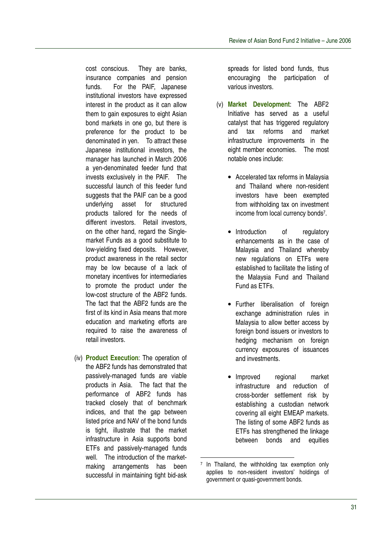cost conscious. They are banks, insurance companies and pension funds. For the PAIF, Japanese institutional investors have expressed interest in the product as it can allow them to gain exposures to eight Asian bond markets in one go, but there is preference for the product to be denominated in yen. To attract these Japanese institutional investors, the manager has launched in March 2006 a yen-denominated feeder fund that invests exclusively in the PAIF. The successful launch of this feeder fund suggests that the PAIF can be a good underlying asset for structured products tailored for the needs of different investors. Retail investors, on the other hand, regard the Singlemarket Funds as a good substitute to low-yielding fixed deposits. However, product awareness in the retail sector may be low because of a lack of monetary incentives for intermediaries to promote the product under the low-cost structure of the ABF2 funds. The fact that the ABF2 funds are the first of its kind in Asia means that more education and marketing efforts are required to raise the awareness of retail investors.

(iv) **Product Execution**: The operation of the ABF2 funds has demonstrated that passively-managed funds are viable products in Asia. The fact that the performance of ABF2 funds has tracked closely that of benchmark indices, and that the gap between listed price and NAV of the bond funds is tight, illustrate that the market infrastructure in Asia supports bond ETFs and passively-managed funds well. The introduction of the marketmaking arrangements has been successful in maintaining tight bid-ask

spreads for listed bond funds, thus encouraging the participation of various investors.

- (v) **Market Development**: The ABF2 Initiative has served as a useful catalyst that has triggered regulatory and tax reforms and market infrastructure improvements in the eight member economies. The most notable ones include:
	- Accelerated tax reforms in Malaysia and Thailand where non-resident investors have been exempted from withholding tax on investment income from local currency bonds 7 .
	- Introduction of regulatory enhancements as in the case of Malaysia and Thailand whereby new regulations on ETFs were established to facilitate the listing of the Malaysia Fund and Thailand Fund as ETFs.
	- Further liberalisation of foreign exchange administration rules in Malaysia to allow better access by foreign bond issuers or investors to hedging mechanism on foreign currency exposures of issuances and investments.
	- Improved regional market infrastructure and reduction of cross-border settlement risk by establishing a custodian network covering all eight EMEAP markets. The listing of some ABF2 funds as ETFs has strengthened the linkage between bonds and equities

<sup>7</sup> In Thailand, the withholding tax exemption only applies to non-resident investors' holdings of government or quasi-government bonds.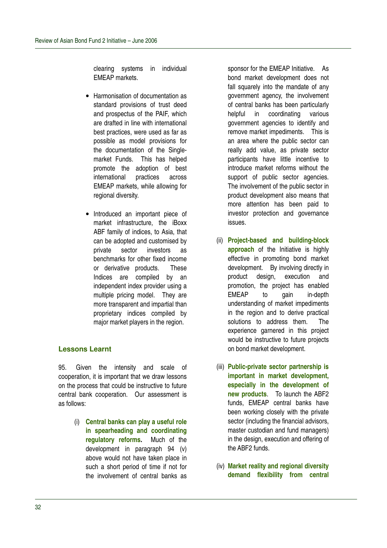clearing systems in individual EMEAP markets.

- Harmonisation of documentation as standard provisions of trust deed and prospectus of the PAIF, which are drafted in line with international best practices, were used as far as possible as model provisions for the documentation of the Singlemarket Funds. This has helped promote the adoption of best international practices across EMEAP markets, while allowing for regional diversity.
- Introduced an important piece of market infrastructure, the iBoxx ABF family of indices, to Asia, that can be adopted and customised by private sector investors as benchmarks for other fixed income or derivative products. These Indices are compiled by an independent index provider using a multiple pricing model. They are more transparent and impartial than proprietary indices compiled by major market players in the region.

# **Lessons Learnt**

95. Given the intensity and scale of cooperation, it is important that we draw lessons on the process that could be instructive to future central bank cooperation. Our assessment is as follows:

> (i) **Central banks can play a useful role in spearheading and coordinating regulatory reforms.** Much of the development in paragraph 94 (v) above would not have taken place in such a short period of time if not for the involvement of central banks as

sponsor for the EMEAP Initiative. As bond market development does not fall squarely into the mandate of any government agency, the involvement of central banks has been particularly helpful in coordinating various government agencies to identify and remove market impediments. This is an area where the public sector can really add value, as private sector participants have little incentive to introduce market reforms without the support of public sector agencies. The involvement of the public sector in product development also means that more attention has been paid to investor protection and governance issues.

- (ii) **Project-based and building-block approach** of the Initiative is highly effective in promoting bond market development. By involving directly in product design, execution and promotion, the project has enabled EMEAP to gain in-depth understanding of market impediments in the region and to derive practical solutions to address them. The experience garnered in this project would be instructive to future projects on bond market development.
- (iii) **Public-private sector partnership is important in market development, especially in the development of new products**. To launch the ABF2 funds, EMEAP central banks have been working closely with the private sector (including the financial advisors, master custodian and fund managers) in the design, execution and offering of the ABF2 funds.
- (iv) **Market reality and regional diversity demand flexibility from central**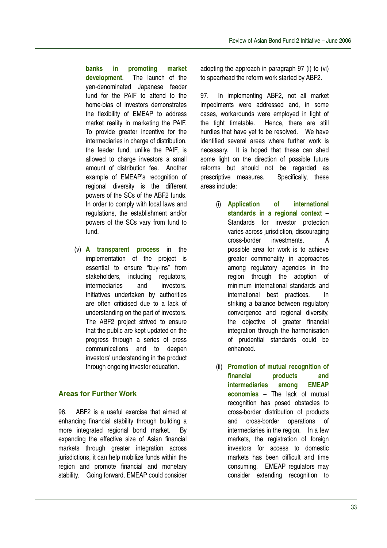**banks in promoting market development**. The launch of the yen-denominated Japanese feeder fund for the PAIF to attend to the home-bias of investors demonstrates the flexibility of EMEAP to address market reality in marketing the PAIF. To provide greater incentive for the intermediaries in charge of distribution, the feeder fund, unlike the PAIF, is allowed to charge investors a small amount of distribution fee. Another example of EMEAP's recognition of regional diversity is the different powers of the SCs of the ABF2 funds. In order to comply with local laws and regulations, the establishment and/or powers of the SCs vary from fund to fund.

(v) **A transparent process** in the implementation of the project is essential to ensure "buy-ins" from stakeholders, including regulators, intermediaries and investors. Initiatives undertaken by authorities are often criticised due to a lack of understanding on the part of investors. The ABF2 project strived to ensure that the public are kept updated on the progress through a series of press communications and to deepen investors' understanding in the product through ongoing investor education.

## **Areas for Further Work**

96. ABF2 is a useful exercise that aimed at enhancing financial stability through building a more integrated regional bond market. By expanding the effective size of Asian financial markets through greater integration across jurisdictions, it can help mobilize funds within the region and promote financial and monetary stability. Going forward, EMEAP could consider

adopting the approach in paragraph 97 (i) to (vi) to spearhead the reform work started by ABF2.

97. In implementing ABF2, not all market impediments were addressed and, in some cases, workarounds were employed in light of the tight timetable. Hence, there are still hurdles that have yet to be resolved. We have identified several areas where further work is necessary. It is hoped that these can shed some light on the direction of possible future reforms but should not be regarded as prescriptive measures. Specifically, these areas include:

- (i) **Application of international standards in a regional context** – Standards for investor protection varies across jurisdiction, discouraging cross-border investments. A possible area for work is to achieve greater commonality in approaches among regulatory agencies in the region through the adoption of minimum international standards and international best practices. In striking a balance between regulatory convergence and regional diversity, the objective of greater financial integration through the harmonisation of prudential standards could be enhanced.
- (ii) **Promotion of mutual recognition of financial products and intermediaries among EMEAP economies –** The lack of mutual recognition has posed obstacles to cross-border distribution of products and cross-border operations of intermediaries in the region. In a few markets, the registration of foreign investors for access to domestic markets has been difficult and time consuming. EMEAP regulators may consider extending recognition to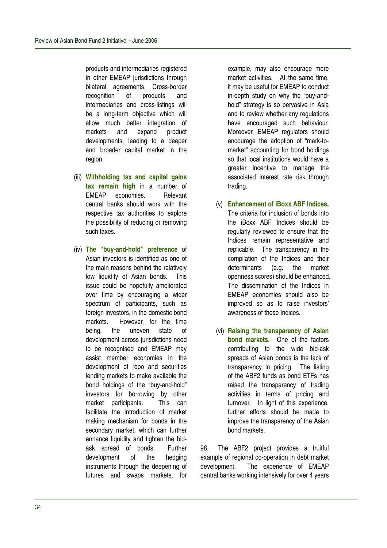products and intermediaries registered in other EMEAP jurisdictions through bilateral agreements. Cross-border recognition of products and intermediaries and cross-listings will be a long-term objective which will allow much better integration of markets and expand product developments, leading to a deeper and broader capital market in the region.

- (iii) **Withholding tax and capital gains tax remain high** in a number of EMEAP economies. Relevant central banks should work with the respective tax authorities to explore the possibility of reducing or removing such taxes.
- (iv) **The "buy-and-hold" preference** of Asian investors is identified as one of the main reasons behind the relatively low liquidity of Asian bonds. This issue could be hopefully ameliorated over time by encouraging a wider spectrum of participants, such as foreign investors, in the domestic bond markets. However, for the time being, the uneven state of development across jurisdictions need to be recognised and EMEAP may assist member economies in the development of repo and securities lending markets to make available the bond holdings of the "buy-and-hold" investors for borrowing by other market participants. This can facilitate the introduction of market making mechanism for bonds in the secondary market, which can further enhance liquidity and tighten the bidask spread of bonds. Further development of the hedging instruments through the deepening of futures and swaps markets, for

example, may also encourage more market activities. At the same time, it may be useful for EMEAP to conduct in-depth study on why the "buy-andhold" strategy is so pervasive in Asia and to review whether any regulations have encouraged such behaviour. Moreover, EMEAP regulators should encourage the adoption of "mark-tomarket" accounting for bond holdings so that local institutions would have a greater incentive to manage the associated interest rate risk through trading.

- (v) **Enhancement of iBoxx ABF Indices.** The criteria for inclusion of bonds into the iBoxx ABF Indices should be regularly reviewed to ensure that the Indices remain representative and replicable. The transparency in the compilation of the Indices and their determinants (e.g. the market openness scores) should be enhanced. The dissemination of the Indices in EMEAP economies should also be improved so as to raise investors' awareness of these Indices.
- (vi) **Raising the transparency of Asian bond markets.** One of the factors contributing to the wide bid-ask spreads of Asian bonds is the lack of transparency in pricing. The listing of the ABF2 funds as bond ETFs has raised the transparency of trading activities in terms of pricing and turnover. In light of this experience. further efforts should be made to improve the transparency of the Asian bond markets.

98. The ABF2 project provides a fruitful example of regional co-operation in debt market development. The experience of EMEAP central banks working intensively for over 4 years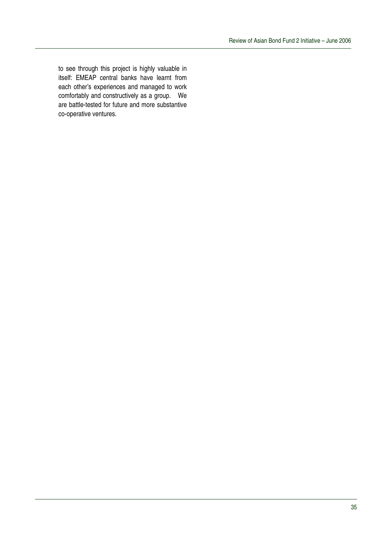to see through this project is highly valuable in itself: EMEAP central banks have learnt from each other's experiences and managed to work comfortably and constructively as a group. We are battle-tested for future and more substantive co-operative ventures.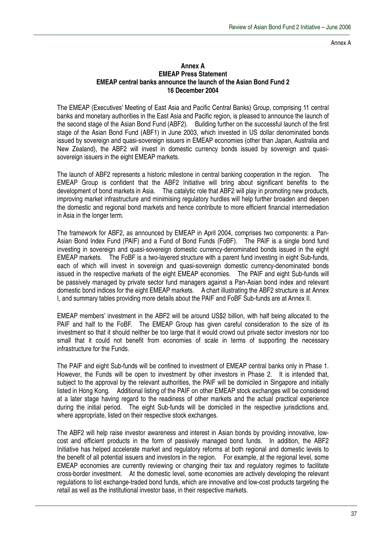Annex A

#### **Annex A EMEAP Press Statement EMEAP central banks announce the launch of the Asian Bond Fund 2 16 December 2004**

The EMEAP (Executives' Meeting of East Asia and Pacific Central Banks) Group, comprising 11 central banks and monetary authorities in the East Asia and Pacific region, is pleased to announce the launch of the second stage of the Asian Bond Fund (ABF2). Building further on the successful launch of the first stage of the Asian Bond Fund (ABF1) in June 2003, which invested in US dollar denominated bonds issued by sovereign and quasi-sovereign issuers in EMEAP economies (other than Japan, Australia and New Zealand), the ABF2 will invest in domestic currency bonds issued by sovereign and quasisovereign issuers in the eight EMEAP markets.

The launch of ABF2 represents a historic milestone in central banking cooperation in the region. The EMEAP Group is confident that the ABF2 Initiative will bring about significant benefits to the development of bond markets in Asia. The catalytic role that ABF2 will play in promoting new products, improving market infrastructure and minimising regulatory hurdles will help further broaden and deepen the domestic and regional bond markets and hence contribute to more efficient financial intermediation in Asia in the longer term.

The framework for ABF2, as announced by EMEAP in April 2004, comprises two components: a Pan-Asian Bond Index Fund (PAIF) and a Fund of Bond Funds (FoBF). The PAIF is a single bond fund investing in sovereign and quasi-sovereign domestic currency-denominated bonds issued in the eight EMEAP markets. The FoBF is a two-layered structure with a parent fund investing in eight Sub-funds, each of which will invest in sovereign and quasi-sovereign domestic currency-denominated bonds issued in the respective markets of the eight EMEAP economies. The PAIF and eight Sub-funds will be passively managed by private sector fund managers against a Pan-Asian bond index and relevant domestic bond indices for the eight EMEAP markets. A chart illustrating the ABF2 structure is at Annex I, and summary tables providing more details about the PAIF and FoBF Sub-funds are at Annex II.

EMEAP members' investment in the ABF2 will be around US\$2 billion, with half being allocated to the PAIF and half to the FoBF. The EMEAP Group has given careful consideration to the size of its investment so that it should neither be too large that it would crowd out private sector investors nor too small that it could not benefit from economies of scale in terms of supporting the necessary infrastructure for the Funds.

The PAIF and eight Sub-funds will be confined to investment of EMEAP central banks only in Phase 1. However, the Funds will be open to investment by other investors in Phase 2. It is intended that, subject to the approval by the relevant authorities, the PAIF will be domiciled in Singapore and initially listed in Hong Kong. Additional listing of the PAIF on other EMEAP stock exchanges will be considered at a later stage having regard to the readiness of other markets and the actual practical experience during the initial period. The eight Sub-funds will be domiciled in the respective jurisdictions and, where appropriate, listed on their respective stock exchanges.

The ABF2 will help raise investor awareness and interest in Asian bonds by providing innovative, lowcost and efficient products in the form of passively managed bond funds. In addition, the ABF2 Initiative has helped accelerate market and regulatory reforms at both regional and domestic levels to the benefit of all potential issuers and investors in the region. For example, at the regional level, some EMEAP economies are currently reviewing or changing their tax and regulatory regimes to facilitate cross-border investment. At the domestic level, some economies are actively developing the relevant regulations to list exchange-traded bond funds, which are innovative and low-cost products targeting the retail as well as the institutional investor base, in their respective markets.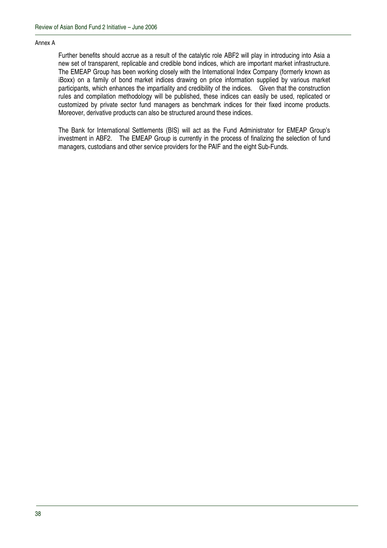#### Annex A

Further benefits should accrue as a result of the catalytic role ABF2 will play in introducing into Asia a new set of transparent, replicable and credible bond indices, which are important market infrastructure. The EMEAP Group has been working closely with the International Index Company (formerly known as iBoxx) on a family of bond market indices drawing on price information supplied by various market participants, which enhances the impartiality and credibility of the indices. Given that the construction rules and compilation methodology will be published, these indices can easily be used, replicated or customized by private sector fund managers as benchmark indices for their fixed income products. Moreover, derivative products can also be structured around these indices.

The Bank for International Settlements (BIS) will act as the Fund Administrator for EMEAP Group's investment in ABF2. The EMEAP Group is currently in the process of finalizing the selection of fund managers, custodians and other service providers for the PAIF and the eight Sub-Funds.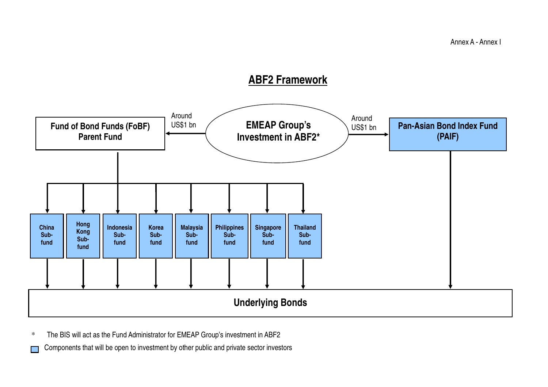

\*The BIS will act as the Fund Administrator for EMEAP Group's investment in ABF2

Components that will be open to investment by other public and private sector investors  $\mathcal{L}^{\mathcal{L}}$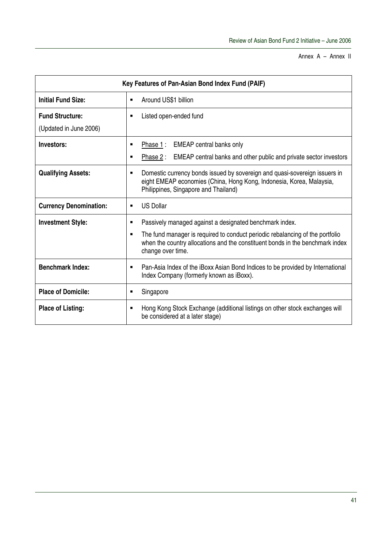Annex A – Annex II

| Key Features of Pan-Asian Bond Index Fund (PAIF) |                                                                                                                                                                                                 |  |  |
|--------------------------------------------------|-------------------------------------------------------------------------------------------------------------------------------------------------------------------------------------------------|--|--|
| <b>Initial Fund Size:</b>                        | Around US\$1 billion<br>٠                                                                                                                                                                       |  |  |
| <b>Fund Structure:</b>                           | Listed open-ended fund<br>п                                                                                                                                                                     |  |  |
| (Updated in June 2006)                           |                                                                                                                                                                                                 |  |  |
| Investors:                                       | <b>EMEAP</b> central banks only<br>Phase 1:<br>$\blacksquare$                                                                                                                                   |  |  |
|                                                  | EMEAP central banks and other public and private sector investors<br>Phase 2 :<br>п                                                                                                             |  |  |
| <b>Qualifying Assets:</b>                        | Domestic currency bonds issued by sovereign and quasi-sovereign issuers in<br>٠<br>eight EMEAP economies (China, Hong Kong, Indonesia, Korea, Malaysia,<br>Philippines, Singapore and Thailand) |  |  |
| <b>Currency Denomination:</b>                    | <b>US Dollar</b><br>٠                                                                                                                                                                           |  |  |
| <b>Investment Style:</b>                         | Passively managed against a designated benchmark index.<br>$\blacksquare$                                                                                                                       |  |  |
|                                                  | The fund manager is required to conduct periodic rebalancing of the portfolio<br>when the country allocations and the constituent bonds in the benchmark index<br>change over time.             |  |  |
| <b>Benchmark Index:</b>                          | Pan-Asia Index of the iBoxx Asian Bond Indices to be provided by International<br>$\blacksquare$<br>Index Company (formerly known as iBoxx).                                                    |  |  |
| <b>Place of Domicile:</b>                        | Singapore<br>٠                                                                                                                                                                                  |  |  |
| <b>Place of Listing:</b>                         | Hong Kong Stock Exchange (additional listings on other stock exchanges will<br>п<br>be considered at a later stage)                                                                             |  |  |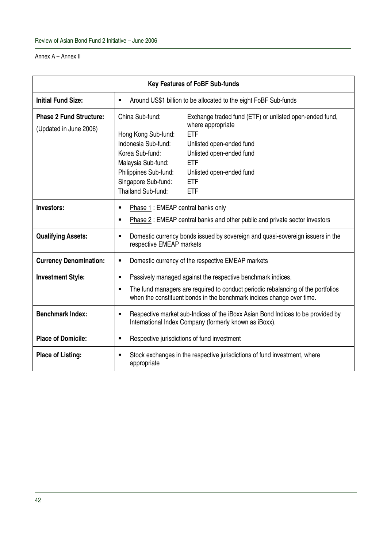#### Annex A – Annex II

| <b>Key Features of FoBF Sub-funds</b>                    |                                                                                                                                                                                                                                                                                                                                                                                                          |  |  |  |
|----------------------------------------------------------|----------------------------------------------------------------------------------------------------------------------------------------------------------------------------------------------------------------------------------------------------------------------------------------------------------------------------------------------------------------------------------------------------------|--|--|--|
| <b>Initial Fund Size:</b>                                | Around US\$1 billion to be allocated to the eight FoBF Sub-funds<br>٠                                                                                                                                                                                                                                                                                                                                    |  |  |  |
| <b>Phase 2 Fund Structure:</b><br>(Updated in June 2006) | China Sub-fund:<br>Exchange traded fund (ETF) or unlisted open-ended fund,<br>where appropriate<br><b>ETF</b><br>Hong Kong Sub-fund:<br>Indonesia Sub-fund:<br>Unlisted open-ended fund<br>Korea Sub-fund:<br>Unlisted open-ended fund<br>Malaysia Sub-fund:<br><b>ETF</b><br>Philippines Sub-fund:<br>Unlisted open-ended fund<br>Singapore Sub-fund:<br><b>ETF</b><br>Thailand Sub-fund:<br><b>ETF</b> |  |  |  |
| Investors:                                               | Phase 1: EMEAP central banks only<br>$\blacksquare$<br>Phase 2: EMEAP central banks and other public and private sector investors<br>$\blacksquare$                                                                                                                                                                                                                                                      |  |  |  |
| <b>Qualifying Assets:</b>                                | Domestic currency bonds issued by sovereign and quasi-sovereign issuers in the<br>٠<br>respective EMEAP markets                                                                                                                                                                                                                                                                                          |  |  |  |
| <b>Currency Denomination:</b>                            | Domestic currency of the respective EMEAP markets<br>٠                                                                                                                                                                                                                                                                                                                                                   |  |  |  |
| <b>Investment Style:</b>                                 | Passively managed against the respective benchmark indices.<br>٠<br>The fund managers are required to conduct periodic rebalancing of the portfolios<br>$\blacksquare$<br>when the constituent bonds in the benchmark indices change over time.                                                                                                                                                          |  |  |  |
| <b>Benchmark Index:</b>                                  | Respective market sub-Indices of the iBoxx Asian Bond Indices to be provided by<br>٠<br>International Index Company (formerly known as iBoxx).                                                                                                                                                                                                                                                           |  |  |  |
| <b>Place of Domicile:</b>                                | Respective jurisdictions of fund investment<br>٠                                                                                                                                                                                                                                                                                                                                                         |  |  |  |
| <b>Place of Listing:</b>                                 | Stock exchanges in the respective jurisdictions of fund investment, where<br>$\blacksquare$<br>appropriate                                                                                                                                                                                                                                                                                               |  |  |  |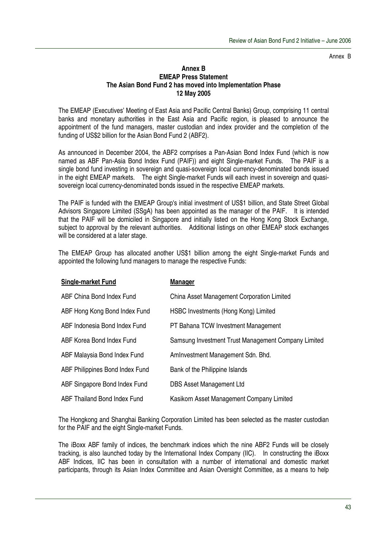Annex B

#### **Annex B EMEAP Press Statement The Asian Bond Fund 2 has moved into Implementation Phase 12 May 2005**

The EMEAP (Executives' Meeting of East Asia and Pacific Central Banks) Group, comprising 11 central banks and monetary authorities in the East Asia and Pacific region, is pleased to announce the appointment of the fund managers, master custodian and index provider and the completion of the funding of US\$2 billion for the Asian Bond Fund 2 (ABF2).

As announced in December 2004, the ABF2 comprises a Pan-Asian Bond Index Fund (which is now named as ABF Pan-Asia Bond Index Fund (PAIF)) and eight Single-market Funds. The PAIF is a single bond fund investing in sovereign and quasi-sovereign local currency-denominated bonds issued in the eight EMEAP markets. The eight Single-market Funds will each invest in sovereign and quasisovereign local currency-denominated bonds issued in the respective EMEAP markets.

The PAIF is funded with the EMEAP Group's initial investment of US\$1 billion, and State Street Global Advisors Singapore Limited (SSgA) has been appointed as the manager of the PAIF. It is intended that the PAIF will be domiciled in Singapore and initially listed on the Hong Kong Stock Exchange, subject to approval by the relevant authorities. Additional listings on other EMEAP stock exchanges will be considered at a later stage*.*

The EMEAP Group has allocated another US\$1 billion among the eight Single-market Funds and appointed the following fund managers to manage the respective Funds:

| <b>Single-market Fund</b>       | <b>Manager</b>                                      |
|---------------------------------|-----------------------------------------------------|
| ABF China Bond Index Fund       | China Asset Management Corporation Limited          |
| ABF Hong Kong Bond Index Fund   | HSBC Investments (Hong Kong) Limited                |
| ABF Indonesia Bond Index Fund   | PT Bahana TCW Investment Management                 |
| ABF Korea Bond Index Fund       | Samsung Investment Trust Management Company Limited |
| ABF Malaysia Bond Index Fund    | Aminvestment Management Sdn. Bhd.                   |
| ABF Philippines Bond Index Fund | Bank of the Philippine Islands                      |
| ABF Singapore Bond Index Fund   | <b>DBS Asset Management Ltd</b>                     |
| ABF Thailand Bond Index Fund    | Kasikorn Asset Management Company Limited           |

The Hongkong and Shanghai Banking Corporation Limited has been selected as the master custodian for the PAIF and the eight Single-market Funds.

The iBoxx ABF family of indices, the benchmark indices which the nine ABF2 Funds will be closely tracking, is also launched today by the International Index Company (IIC). In constructing the iBoxx ABF Indices, IIC has been in consultation with a number of international and domestic market participants, through its Asian Index Committee and Asian Oversight Committee, as a means to help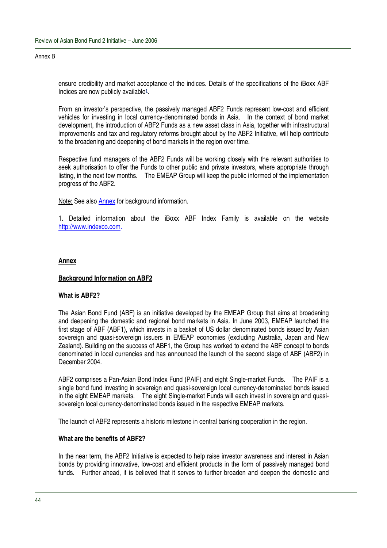#### Annex B

ensure credibility and market acceptance of the indices. Details of the specifications of the iBoxx ABF Indices are now publicly available<sup>1</sup>.

From an investor's perspective, the passively managed ABF2 Funds represent low-cost and efficient vehicles for investing in local currency-denominated bonds in Asia. In the context of bond market development, the introduction of ABF2 Funds as a new asset class in Asia, together with infrastructural improvements and tax and regulatory reforms brought about by the ABF2 Initiative, will help contribute to the broadening and deepening of bond markets in the region over time.

Respective fund managers of the ABF2 Funds will be working closely with the relevant authorities to seek authorisation to offer the Funds to other public and private investors, where appropriate through listing, in the next few months. The EMEAP Group will keep the public informed of the implementation progress of the ABF2.

Note: See also Annex for background information.

1. Detailed information about the iBoxx ABF Index Family is available on the website http://www.indexco.com.

#### **Annex**

#### **Background Information on ABF2**

#### **What is ABF2?**

The Asian Bond Fund (ABF) is an initiative developed by the EMEAP Group that aims at broadening and deepening the domestic and regional bond markets in Asia. In June 2003, EMEAP launched the first stage of ABF (ABF1), which invests in a basket of US dollar denominated bonds issued by Asian sovereign and quasi-sovereign issuers in EMEAP economies (excluding Australia, Japan and New Zealand). Building on the success of ABF1, the Group has worked to extend the ABF concept to bonds denominated in local currencies and has announced the launch of the second stage of ABF (ABF2) in December 2004.

ABF2 comprises a Pan-Asian Bond Index Fund (PAIF) and eight Single-market Funds. The PAIF is a single bond fund investing in sovereign and quasi-sovereign local currency-denominated bonds issued in the eight EMEAP markets. The eight Single-market Funds will each invest in sovereign and quasisovereign local currency-denominated bonds issued in the respective EMEAP markets.

The launch of ABF2 represents a historic milestone in central banking cooperation in the region.

#### **What are the benefits of ABF2?**

In the near term, the ABF2 Initiative is expected to help raise investor awareness and interest in Asian bonds by providing innovative, low-cost and efficient products in the form of passively managed bond funds. Further ahead, it is believed that it serves to further broaden and deepen the domestic and